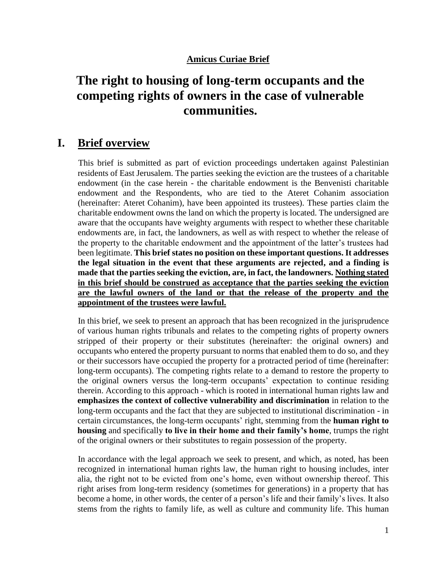## **Amicus Curiae Brief**

# **The right to housing of long-term occupants and the competing rights of owners in the case of vulnerable communities.**

## **I. Brief overview**

This brief is submitted as part of eviction proceedings undertaken against Palestinian residents of East Jerusalem. The parties seeking the eviction are the trustees of a charitable endowment (in the case herein - the charitable endowment is the Benvenisti charitable endowment and the Respondents, who are tied to the Ateret Cohanim association (hereinafter: Ateret Cohanim), have been appointed its trustees). These parties claim the charitable endowment owns the land on which the property is located. The undersigned are aware that the occupants have weighty arguments with respect to whether these charitable endowments are, in fact, the landowners, as well as with respect to whether the release of the property to the charitable endowment and the appointment of the latter's trustees had been legitimate. **This brief states no position on these important questions. It addresses the legal situation in the event that these arguments are rejected, and a finding is made that the parties seeking the eviction, are, in fact, the landowners. Nothing stated in this brief should be construed as acceptance that the parties seeking the eviction are the lawful owners of the land or that the release of the property and the appointment of the trustees were lawful.**

In this brief, we seek to present an approach that has been recognized in the jurisprudence of various human rights tribunals and relates to the competing rights of property owners stripped of their property or their substitutes (hereinafter: the original owners) and occupants who entered the property pursuant to norms that enabled them to do so, and they or their successors have occupied the property for a protracted period of time (hereinafter: long-term occupants). The competing rights relate to a demand to restore the property to the original owners versus the long-term occupants' expectation to continue residing therein. According to this approach - which is rooted in international human rights law and **emphasizes the context of collective vulnerability and discrimination** in relation to the long-term occupants and the fact that they are subjected to institutional discrimination - in certain circumstances, the long-term occupants' right, stemming from the **human right to housing** and specifically **to live in their home and their family's home**, trumps the right of the original owners or their substitutes to regain possession of the property.

In accordance with the legal approach we seek to present, and which, as noted, has been recognized in international human rights law, the human right to housing includes, inter alia, the right not to be evicted from one's home, even without ownership thereof. This right arises from long-term residency (sometimes for generations) in a property that has become a home, in other words, the center of a person's life and their family's lives. It also stems from the rights to family life, as well as culture and community life. This human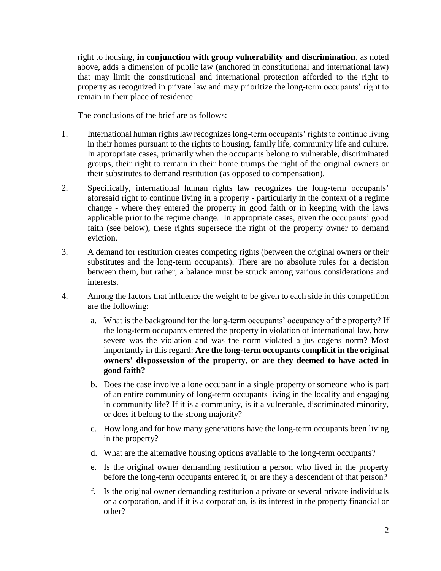right to housing, **in conjunction with group vulnerability and discrimination**, as noted above, adds a dimension of public law (anchored in constitutional and international law) that may limit the constitutional and international protection afforded to the right to property as recognized in private law and may prioritize the long-term occupants' right to remain in their place of residence.

The conclusions of the brief are as follows:

- 1. International human rights law recognizes long-term occupants' rights to continue living in their homes pursuant to the rights to housing, family life, community life and culture. In appropriate cases, primarily when the occupants belong to vulnerable, discriminated groups, their right to remain in their home trumps the right of the original owners or their substitutes to demand restitution (as opposed to compensation).
- 2. Specifically, international human rights law recognizes the long-term occupants' aforesaid right to continue living in a property - particularly in the context of a regime change - where they entered the property in good faith or in keeping with the laws applicable prior to the regime change. In appropriate cases, given the occupants' good faith (see below), these rights supersede the right of the property owner to demand eviction.
- 3. A demand for restitution creates competing rights (between the original owners or their substitutes and the long-term occupants). There are no absolute rules for a decision between them, but rather, a balance must be struck among various considerations and interests.
- 4. Among the factors that influence the weight to be given to each side in this competition are the following:
	- a. What is the background for the long-term occupants' occupancy of the property? If the long-term occupants entered the property in violation of international law, how severe was the violation and was the norm violated a jus cogens norm? Most importantly in this regard: **Are the long-term occupants complicit in the original owners' dispossession of the property, or are they deemed to have acted in good faith?**
	- b. Does the case involve a lone occupant in a single property or someone who is part of an entire community of long-term occupants living in the locality and engaging in community life? If it is a community, is it a vulnerable, discriminated minority, or does it belong to the strong majority?
	- c. How long and for how many generations have the long-term occupants been living in the property?
	- d. What are the alternative housing options available to the long-term occupants?
	- e. Is the original owner demanding restitution a person who lived in the property before the long-term occupants entered it, or are they a descendent of that person?
	- f. Is the original owner demanding restitution a private or several private individuals or a corporation, and if it is a corporation, is its interest in the property financial or other?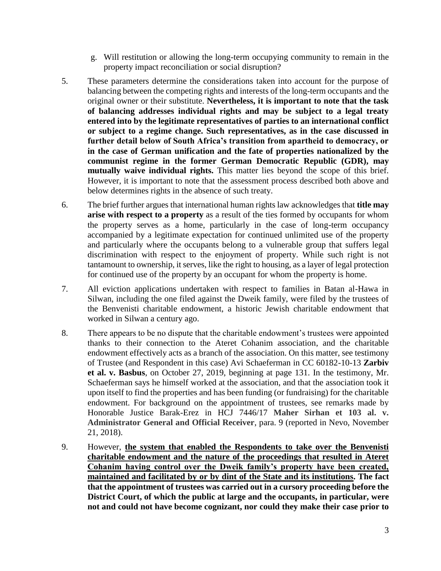- g. Will restitution or allowing the long-term occupying community to remain in the property impact reconciliation or social disruption?
- 5. These parameters determine the considerations taken into account for the purpose of balancing between the competing rights and interests of the long-term occupants and the original owner or their substitute. **Nevertheless, it is important to note that the task of balancing addresses individual rights and may be subject to a legal treaty entered into by the legitimate representatives of parties to an international conflict or subject to a regime change. Such representatives, as in the case discussed in further detail below of South Africa's transition from apartheid to democracy, or in the case of German unification and the fate of properties nationalized by the communist regime in the former German Democratic Republic (GDR), may mutually waive individual rights.** This matter lies beyond the scope of this brief. However, it is important to note that the assessment process described both above and below determines rights in the absence of such treaty.
- 6. The brief further argues that international human rights law acknowledges that **title may arise with respect to a property** as a result of the ties formed by occupants for whom the property serves as a home, particularly in the case of long-term occupancy accompanied by a legitimate expectation for continued unlimited use of the property and particularly where the occupants belong to a vulnerable group that suffers legal discrimination with respect to the enjoyment of property. While such right is not tantamount to ownership, it serves, like the right to housing, as a layer of legal protection for continued use of the property by an occupant for whom the property is home.
- 7. All eviction applications undertaken with respect to families in Batan al-Hawa in Silwan, including the one filed against the Dweik family, were filed by the trustees of the Benvenisti charitable endowment, a historic Jewish charitable endowment that worked in Silwan a century ago.
- 8. There appears to be no dispute that the charitable endowment's trustees were appointed thanks to their connection to the Ateret Cohanim association, and the charitable endowment effectively acts as a branch of the association. On this matter, see testimony of Trustee (and Respondent in this case) Avi Schaeferman in CC 60182-10-13 **Zarbiv et al. v. Basbus**, on October 27, 2019, beginning at page 131. In the testimony, Mr. Schaeferman says he himself worked at the association, and that the association took it upon itself to find the properties and has been funding (or fundraising) for the charitable endowment. For background on the appointment of trustees, see remarks made by Honorable Justice Barak-Erez in HCJ 7446/17 **Maher Sirhan et 103 al. v. Administrator General and Official Receiver**, para. 9 (reported in Nevo, November 21, 2018).
- 9. However, **the system that enabled the Respondents to take over the Benvenisti charitable endowment and the nature of the proceedings that resulted in Ateret Cohanim having control over the Dweik family's property have been created, maintained and facilitated by or by dint of the State and its institutions. The fact that the appointment of trustees was carried out in a cursory proceeding before the District Court, of which the public at large and the occupants, in particular, were not and could not have become cognizant, nor could they make their case prior to**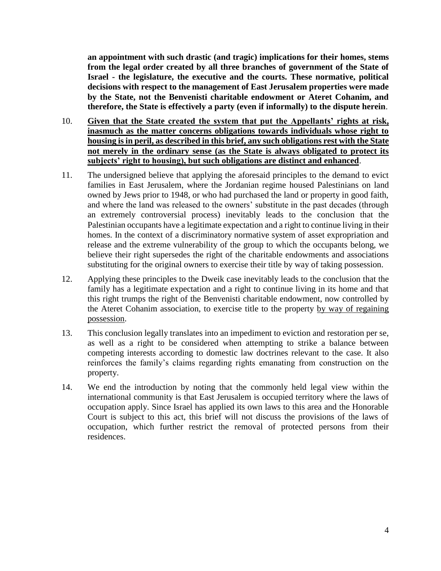**an appointment with such drastic (and tragic) implications for their homes, stems from the legal order created by all three branches of government of the State of Israel - the legislature, the executive and the courts. These normative, political decisions with respect to the management of East Jerusalem properties were made by the State, not the Benvenisti charitable endowment or Ateret Cohanim, and therefore, the State is effectively a party (even if informally) to the dispute herein**.

- 10. **Given that the State created the system that put the Appellants' rights at risk, inasmuch as the matter concerns obligations towards individuals whose right to housing is in peril, as described in this brief, any such obligations rest with the State not merely in the ordinary sense (as the State is always obligated to protect its subjects' right to housing), but such obligations are distinct and enhanced**.
- 11. The undersigned believe that applying the aforesaid principles to the demand to evict families in East Jerusalem, where the Jordanian regime housed Palestinians on land owned by Jews prior to 1948, or who had purchased the land or property in good faith, and where the land was released to the owners' substitute in the past decades (through an extremely controversial process) inevitably leads to the conclusion that the Palestinian occupants have a legitimate expectation and a right to continue living in their homes. In the context of a discriminatory normative system of asset expropriation and release and the extreme vulnerability of the group to which the occupants belong, we believe their right supersedes the right of the charitable endowments and associations substituting for the original owners to exercise their title by way of taking possession.
- 12. Applying these principles to the Dweik case inevitably leads to the conclusion that the family has a legitimate expectation and a right to continue living in its home and that this right trumps the right of the Benvenisti charitable endowment, now controlled by the Ateret Cohanim association, to exercise title to the property by way of regaining possession.
- 13. This conclusion legally translates into an impediment to eviction and restoration per se, as well as a right to be considered when attempting to strike a balance between competing interests according to domestic law doctrines relevant to the case. It also reinforces the family's claims regarding rights emanating from construction on the property.
- 14. We end the introduction by noting that the commonly held legal view within the international community is that East Jerusalem is occupied territory where the laws of occupation apply. Since Israel has applied its own laws to this area and the Honorable Court is subject to this act, this brief will not discuss the provisions of the laws of occupation, which further restrict the removal of protected persons from their residences.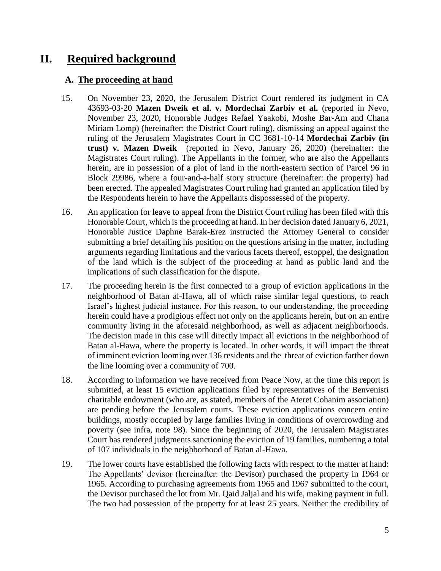# **II. Required background**

#### **A. The proceeding at hand**

- 15. On November 23, 2020, the Jerusalem District Court rendered its judgment in CA 43693-03-20 **Mazen Dweik et al. v. Mordechai Zarbiv et al.** (reported in Nevo, November 23, 2020, Honorable Judges Refael Yaakobi, Moshe Bar-Am and Chana Miriam Lomp) (hereinafter: the District Court ruling), dismissing an appeal against the ruling of the Jerusalem Magistrates Court in CC 3681-10-14 **Mordechai Zarbiv (in trust) v. Mazen Dweik** (reported in Nevo, January 26, 2020) (hereinafter: the Magistrates Court ruling). The Appellants in the former, who are also the Appellants herein, are in possession of a plot of land in the north-eastern section of Parcel 96 in Block 29986, where a four-and-a-half story structure (hereinafter: the property) had been erected. The appealed Magistrates Court ruling had granted an application filed by the Respondents herein to have the Appellants dispossessed of the property.
- 16. An application for leave to appeal from the District Court ruling has been filed with this Honorable Court, which is the proceeding at hand. In her decision dated January 6, 2021, Honorable Justice Daphne Barak-Erez instructed the Attorney General to consider submitting a brief detailing his position on the questions arising in the matter, including arguments regarding limitations and the various facets thereof, estoppel, the designation of the land which is the subject of the proceeding at hand as public land and the implications of such classification for the dispute.
- 17. The proceeding herein is the first connected to a group of eviction applications in the neighborhood of Batan al-Hawa, all of which raise similar legal questions, to reach Israel's highest judicial instance. For this reason, to our understanding, the proceeding herein could have a prodigious effect not only on the applicants herein, but on an entire community living in the aforesaid neighborhood, as well as adjacent neighborhoods. The decision made in this case will directly impact all evictions in the neighborhood of Batan al-Hawa, where the property is located. In other words, it will impact the threat of imminent eviction looming over 136 residents and the threat of eviction farther down the line looming over a community of 700.
- 18. According to information we have received from Peace Now, at the time this report is submitted, at least 15 eviction applications filed by representatives of the Benvenisti charitable endowment (who are, as stated, members of the Ateret Cohanim association) are pending before the Jerusalem courts. These eviction applications concern entire buildings, mostly occupied by large families living in conditions of overcrowding and poverty (see infra, note 98). Since the beginning of 2020, the Jerusalem Magistrates Court has rendered judgments sanctioning the eviction of 19 families, numbering a total of 107 individuals in the neighborhood of Batan al-Hawa.
- 19. The lower courts have established the following facts with respect to the matter at hand: The Appellants' devisor (hereinafter: the Devisor) purchased the property in 1964 or 1965. According to purchasing agreements from 1965 and 1967 submitted to the court, the Devisor purchased the lot from Mr. Qaid Jaljal and his wife, making payment in full. The two had possession of the property for at least 25 years. Neither the credibility of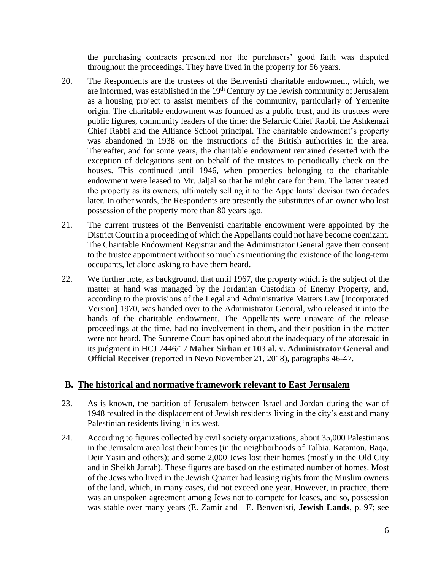the purchasing contracts presented nor the purchasers' good faith was disputed throughout the proceedings. They have lived in the property for 56 years.

- 20. The Respondents are the trustees of the Benvenisti charitable endowment, which, we are informed, was established in the  $19<sup>th</sup>$  Century by the Jewish community of Jerusalem as a housing project to assist members of the community, particularly of Yemenite origin. The charitable endowment was founded as a public trust, and its trustees were public figures, community leaders of the time: the Sefardic Chief Rabbi, the Ashkenazi Chief Rabbi and the Alliance School principal. The charitable endowment's property was abandoned in 1938 on the instructions of the British authorities in the area. Thereafter, and for some years, the charitable endowment remained deserted with the exception of delegations sent on behalf of the trustees to periodically check on the houses. This continued until 1946, when properties belonging to the charitable endowment were leased to Mr. Jaljal so that he might care for them. The latter treated the property as its owners, ultimately selling it to the Appellants' devisor two decades later. In other words, the Respondents are presently the substitutes of an owner who lost possession of the property more than 80 years ago.
- 21. The current trustees of the Benvenisti charitable endowment were appointed by the District Court in a proceeding of which the Appellants could not have become cognizant. The Charitable Endowment Registrar and the Administrator General gave their consent to the trustee appointment without so much as mentioning the existence of the long-term occupants, let alone asking to have them heard.
- 22. We further note, as background, that until 1967, the property which is the subject of the matter at hand was managed by the Jordanian Custodian of Enemy Property, and, according to the provisions of the Legal and Administrative Matters Law [Incorporated Version] 1970, was handed over to the Administrator General, who released it into the hands of the charitable endowment. The Appellants were unaware of the release proceedings at the time, had no involvement in them, and their position in the matter were not heard. The Supreme Court has opined about the inadequacy of the aforesaid in its judgment in HCJ 7446/17 **Maher Sirhan et 103 al. v. Administrator General and Official Receiver** (reported in Nevo November 21, 2018), paragraphs 46-47.

#### **B. The historical and normative framework relevant to East Jerusalem**

- 23. As is known, the partition of Jerusalem between Israel and Jordan during the war of 1948 resulted in the displacement of Jewish residents living in the city's east and many Palestinian residents living in its west.
- 24. According to figures collected by civil society organizations, about 35,000 Palestinians in the Jerusalem area lost their homes (in the neighborhoods of Talbia, Katamon, Baqa, Deir Yasin and others); and some 2,000 Jews lost their homes (mostly in the Old City and in Sheikh Jarrah). These figures are based on the estimated number of homes. Most of the Jews who lived in the Jewish Quarter had leasing rights from the Muslim owners of the land, which, in many cases, did not exceed one year. However, in practice, there was an unspoken agreement among Jews not to compete for leases, and so, possession was stable over many years (E. Zamir and E. Benvenisti, **Jewish Lands**, p. 97; see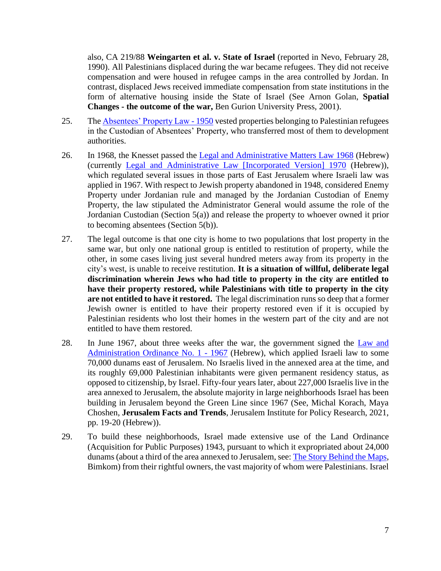also, CA 219/88 **Weingarten et al. v. State of Israel** (reported in Nevo, February 28, 1990). All Palestinians displaced during the war became refugees. They did not receive compensation and were housed in refugee camps in the area controlled by Jordan. In contrast, displaced Jews received immediate compensation from state institutions in the form of alternative housing inside the State of Israel (See Arnon Golan, **Spatial Changes - the outcome of the war,** Ben Gurion University Press, 2001).

- 25. Th[e Absentees' Property Law -](https://unispal.un.org/UNISPAL.NSF/0/E0B719E95E3B494885256F9A005AB90A) 1950 vested properties belonging to Palestinian refugees in the Custodian of Absentees' Property, who transferred most of them to development authorities.
- 26. In 1968, the Knesset passed the [Legal and Administrative Matters Law 1968](https://fs.knesset.gov.il/6/law/6_lsr_208264.PDF) (Hebrew) (currently [Legal and Administrative Law \[Incorporated Version\] 1970](https://www.nevo.co.il/law_html/law01/319_009.htm) (Hebrew)), which regulated several issues in those parts of East Jerusalem where Israeli law was applied in 1967. With respect to Jewish property abandoned in 1948, considered Enemy Property under Jordanian rule and managed by the Jordanian Custodian of Enemy Property, the law stipulated the Administrator General would assume the role of the Jordanian Custodian (Section 5(a)) and release the property to whoever owned it prior to becoming absentees (Section 5(b)).
- 27. The legal outcome is that one city is home to two populations that lost property in the same war, but only one national group is entitled to restitution of property, while the other, in some cases living just several hundred meters away from its property in the city's west, is unable to receive restitution. **It is a situation of willful, deliberate legal discrimination wherein Jews who had title to property in the city are entitled to have their property restored, while Palestinians with title to property in the city are not entitled to have it restored.** The legal discrimination runs so deep that a former Jewish owner is entitled to have their property restored even if it is occupied by Palestinian residents who lost their homes in the western part of the city and are not entitled to have them restored.
- 28. In June 1967, about three weeks after the war, the government signed the [Law and](https://www.nevo.co.il/law_html/law01/319_004.htm)  [Administration Ordinance No. 1 -](https://www.nevo.co.il/law_html/law01/319_004.htm) 1967 (Hebrew), which applied Israeli law to some 70,000 dunams east of Jerusalem. No Israelis lived in the annexed area at the time, and its roughly 69,000 Palestinian inhabitants were given permanent residency status, as opposed to citizenship, by Israel. Fifty-four years later, about 227,000 Israelis live in the area annexed to Jerusalem, the absolute majority in large neighborhoods Israel has been building in Jerusalem beyond the Green Line since 1967 (See, Michal Korach, Maya Choshen, **Jerusalem Facts and Trends**, Jerusalem Institute for Policy Research, 2021, pp. 19-20 (Hebrew)).
- 29. To build these neighborhoods, Israel made extensive use of the Land Ordinance (Acquisition for Public Purposes) 1943, pursuant to which it expropriated about 24,000 dunams (about a third of the area annexed to Jerusalem, see: [The Story Behind the Maps,](https://bimkomplanners.maps.arcgis.com/apps/webappviewer/index.html?id=342ba819d8464d1dbda7db48f703e544) Bimkom) from their rightful owners, the vast majority of whom were Palestinians. Israel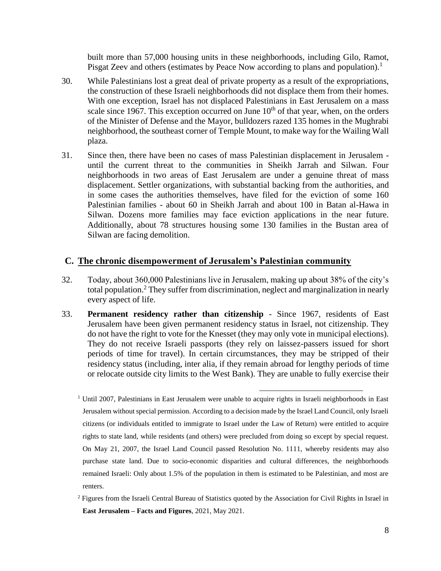built more than 57,000 housing units in these neighborhoods, including Gilo, Ramot, Pisgat Zeev and others (estimates by Peace Now according to plans and population).<sup>1</sup>

- 30. While Palestinians lost a great deal of private property as a result of the expropriations, the construction of these Israeli neighborhoods did not displace them from their homes. With one exception, Israel has not displaced Palestinians in East Jerusalem on a mass scale since 1967. This exception occurred on June  $10<sup>th</sup>$  of that year, when, on the orders of the Minister of Defense and the Mayor, bulldozers razed 135 homes in the Mughrabi neighborhood, the southeast corner of Temple Mount, to make way for the Wailing Wall plaza.
- 31. Since then, there have been no cases of mass Palestinian displacement in Jerusalem until the current threat to the communities in Sheikh Jarrah and Silwan. Four neighborhoods in two areas of East Jerusalem are under a genuine threat of mass displacement. Settler organizations, with substantial backing from the authorities, and in some cases the authorities themselves, have filed for the eviction of some 160 Palestinian families - about 60 in Sheikh Jarrah and about 100 in Batan al-Hawa in Silwan. Dozens more families may face eviction applications in the near future. Additionally, about 78 structures housing some 130 families in the Bustan area of Silwan are facing demolition.

#### **C. The chronic disempowerment of Jerusalem's Palestinian community**

- 32. Today, about 360,000 Palestinians live in Jerusalem, making up about 38% of the city's total population. <sup>2</sup> They suffer from discrimination, neglect and marginalization in nearly every aspect of life.
- 33. **Permanent residency rather than citizenship** Since 1967, residents of East Jerusalem have been given permanent residency status in Israel, not citizenship. They do not have the right to vote for the Knesset (they may only vote in municipal elections). They do not receive Israeli passports (they rely on laissez-passers issued for short periods of time for travel). In certain circumstances, they may be stripped of their residency status (including, inter alia, if they remain abroad for lengthy periods of time or relocate outside city limits to the West Bank). They are unable to fully exercise their

<sup>2</sup> Figures from the Israeli Central Bureau of Statistics quoted by the Association for Civil Rights in Israel in **East Jerusalem – Facts and Figures**, 2021, May 2021.

 $\overline{a}$ <sup>1</sup> Until 2007, Palestinians in East Jerusalem were unable to acquire rights in Israeli neighborhoods in East Jerusalem without special permission. According to a decision made by the Israel Land Council, only Israeli citizens (or individuals entitled to immigrate to Israel under the Law of Return) were entitled to acquire rights to state land, while residents (and others) were precluded from doing so except by special request. On May 21, 2007, the Israel Land Council passed Resolution No. 1111, whereby residents may also purchase state land. Due to socio-economic disparities and cultural differences, the neighborhoods remained Israeli: Only about 1.5% of the population in them is estimated to be Palestinian, and most are renters.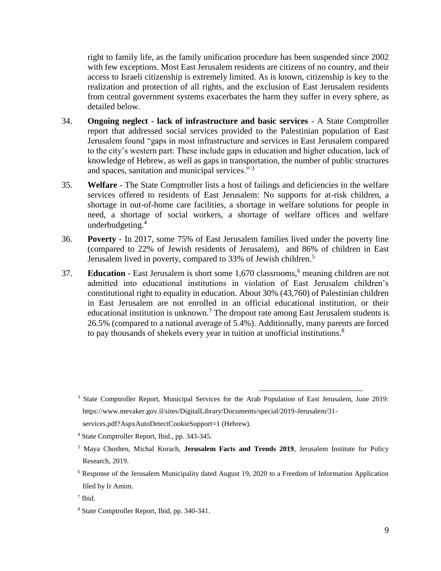right to family life, as the family unification procedure has been suspended since 2002 with few exceptions. Most East Jerusalem residents are citizens of no country, and their access to Israeli citizenship is extremely limited. As is known, citizenship is key to the realization and protection of all rights, and the exclusion of East Jerusalem residents from central government systems exacerbates the harm they suffer in every sphere, as detailed below.

- 34. **Ongoing neglect - lack of infrastructure and basic services** A State Comptroller report that addressed social services provided to the Palestinian population of East Jerusalem found "gaps in most infrastructure and services in East Jerusalem compared to the city's western part: These include gaps in education and higher education, lack of knowledge of Hebrew, as well as gaps in transportation, the number of public structures and spaces, sanitation and municipal services."<sup>3</sup>
- 35. **Welfare**  The State Comptroller lists a host of failings and deficiencies in the welfare services offered to residents of East Jerusalem: No supports for at-risk children, a shortage in out-of-home care facilities, a shortage in welfare solutions for people in need, a shortage of social workers, a shortage of welfare offices and welfare underbudgeting.<sup>4</sup>
- 36. **Poverty**  In 2017, some 75% of East Jerusalem families lived under the poverty line (compared to 22% of Jewish residents of Jerusalem), and 86% of children in East Jerusalem lived in poverty, compared to 33% of Jewish children.<sup>5</sup>
- 37. **Education** East Jerusalem is short some 1,670 classrooms,<sup>6</sup> meaning children are not admitted into educational institutions in violation of East Jerusalem children's constitutional right to equality in education. About 30% (43,760) of Palestinian children in East Jerusalem are not enrolled in an official educational institution, or their educational institution is unknown.<sup>7</sup> The dropout rate among East Jerusalem students is 26.5% (compared to a national average of 5.4%). Additionally, many parents are forced to pay thousands of shekels every year in tuition at unofficial institutions. $8$

 $\overline{a}$ <sup>3</sup> State Comptroller Report, Municipal Services for the Arab Population of East Jerusalem, June 2019: https://www.mevaker.gov.il/sites/DigitalLibrary/Documents/special/2019-Jerusalem/31 services.pdf?AspxAutoDetectCookieSupport=1 (Hebrew).

<sup>4</sup> State Comptroller Report, Ibid., pp. 343-345.

<sup>5</sup> Maya Choshen, Michal Korach, **Jerusalem Facts and Trends 2019**, Jerusalem Institute for Policy Research, 2019.

 $6$  Response of the Jerusalem Municipality dated August 19, 2020 to a Freedom of Information Application filed by Ir Amim.

<sup>7</sup> Ibid.

<sup>8</sup> State Comptroller Report, Ibid, pp. 340-341.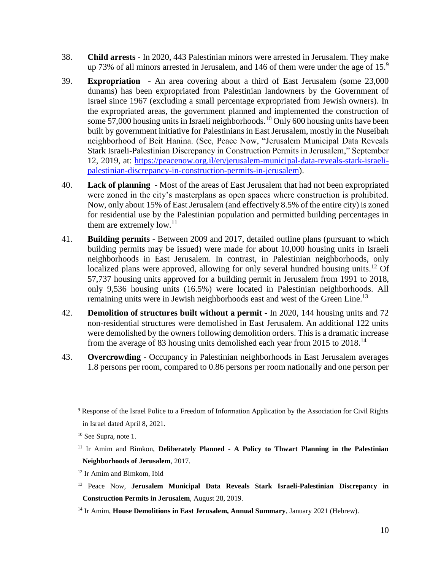- 38. **Child arrests**  In 2020, 443 Palestinian minors were arrested in Jerusalem. They make up 73% of all minors arrested in Jerusalem, and 146 of them were under the age of  $15<sup>9</sup>$
- 39. **Expropriation**  An area covering about a third of East Jerusalem (some 23,000 dunams) has been expropriated from Palestinian landowners by the Government of Israel since 1967 (excluding a small percentage expropriated from Jewish owners). In the expropriated areas, the government planned and implemented the construction of some 57,000 housing units in Israeli neighborhoods.<sup>10</sup> Only 600 housing units have been built by government initiative for Palestinians in East Jerusalem, mostly in the Nuseibah neighborhood of Beit Hanina. (See, Peace Now, "Jerusalem Municipal Data Reveals Stark Israeli-Palestinian Discrepancy in Construction Permits in Jerusalem," September 12, 2019, at: [https://peacenow.org.il/en/jerusalem-municipal-data-reveals-stark-israeli](https://peacenow.org.il/en/jerusalem-municipal-data-reveals-stark-israeli-palestinian-discrepancy-in-construction-permits-in-jerusalem)[palestinian-discrepancy-in-construction-permits-in-jerusalem\)](https://peacenow.org.il/en/jerusalem-municipal-data-reveals-stark-israeli-palestinian-discrepancy-in-construction-permits-in-jerusalem).
- 40. **Lack of planning**  Most of the areas of East Jerusalem that had not been expropriated were zoned in the city's masterplans as open spaces where construction is prohibited. Now, only about 15% of East Jerusalem (and effectively 8.5% of the entire city) is zoned for residential use by the Palestinian population and permitted building percentages in them are extremely low.<sup>11</sup>
- 41. **Building permits**  Between 2009 and 2017, detailed outline plans (pursuant to which building permits may be issued) were made for about 10,000 housing units in Israeli neighborhoods in East Jerusalem. In contrast, in Palestinian neighborhoods, only localized plans were approved, allowing for only several hundred housing units.<sup>12</sup> Of 57,737 housing units approved for a building permit in Jerusalem from 1991 to 2018, only 9,536 housing units (16.5%) were located in Palestinian neighborhoods. All remaining units were in Jewish neighborhoods east and west of the Green Line.<sup>13</sup>
- 42. **Demolition of structures built without a permit**  In 2020, 144 housing units and 72 non-residential structures were demolished in East Jerusalem. An additional 122 units were demolished by the owners following demolition orders. This is a dramatic increase from the average of 83 housing units demolished each year from 2015 to 2018.<sup>14</sup>
- 43. **Overcrowding**  Occupancy in Palestinian neighborhoods in East Jerusalem averages 1.8 persons per room, compared to 0.86 persons per room nationally and one person per

- <sup>12</sup> Ir Amim and Bimkom, Ibid
- <sup>13</sup> Peace Now, **Jerusalem Municipal Data Reveals Stark Israeli-Palestinian Discrepancy in Construction Permits in Jerusalem**, August 28, 2019.

<sup>9</sup> Response of the Israel Police to a Freedom of Information Application by the Association for Civil Rights in Israel dated April 8, 2021.

<sup>&</sup>lt;sup>10</sup> See Supra, note 1.

<sup>11</sup> Ir Amim and Bimkon, **Deliberately Planned - A Policy to Thwart Planning in the Palestinian Neighborhoods of Jerusalem**, 2017.

<sup>14</sup> Ir Amim, **House Demolitions in East Jerusalem, Annual Summary**, January 2021 (Hebrew).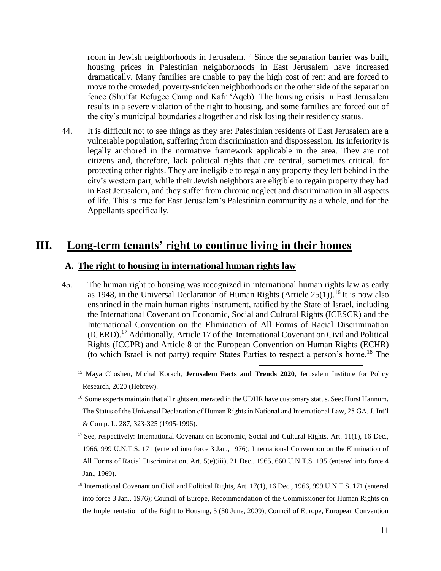room in Jewish neighborhoods in Jerusalem.<sup>15</sup> Since the separation barrier was built, housing prices in Palestinian neighborhoods in East Jerusalem have increased dramatically. Many families are unable to pay the high cost of rent and are forced to move to the crowded, poverty-stricken neighborhoods on the other side of the separation fence (Shu'fat Refugee Camp and Kafr 'Aqeb). The housing crisis in East Jerusalem results in a severe violation of the right to housing, and some families are forced out of the city's municipal boundaries altogether and risk losing their residency status.

44. It is difficult not to see things as they are: Palestinian residents of East Jerusalem are a vulnerable population, suffering from discrimination and dispossession. Its inferiority is legally anchored in the normative framework applicable in the area. They are not citizens and, therefore, lack political rights that are central, sometimes critical, for protecting other rights. They are ineligible to regain any property they left behind in the city's western part, while their Jewish neighbors are eligible to regain property they had in East Jerusalem, and they suffer from chronic neglect and discrimination in all aspects of life. This is true for East Jerusalem's Palestinian community as a whole, and for the Appellants specifically.

## **III. Long-term tenants' right to continue living in their homes**

#### **A. The right to housing in international human rights law**

- 45. The human right to housing was recognized in international human rights law as early as 1948, in the Universal Declaration of Human Rights (Article  $25(1)$ ).<sup>16</sup> It is now also enshrined in the main human rights instrument, ratified by the State of Israel, including the International Covenant on Economic, Social and Cultural Rights (ICESCR) and the International Convention on the Elimination of All Forms of Racial Discrimination (ICERD).<sup>17</sup> Additionally, Article 17 of the International Covenant on Civil and Political Rights (ICCPR) and Article 8 of the European Convention on Human Rights (ECHR) (to which Israel is not party) require States Parties to respect a person's home.<sup>18</sup> The
	- <sup>15</sup> Maya Choshen, Michal Korach, **Jerusalem Facts and Trends 2020**, Jerusalem Institute for Policy Research, 2020 (Hebrew).

- <sup>16</sup> Some experts maintain that all rights enumerated in the UDHR have customary status. See: Hurst Hannum, The Status of the Universal Declaration of Human Rights in National and International Law, 25 GA. J. Int'l & Comp. L. 287, 323-325 (1995-1996).
- $17$  See, respectively: International Covenant on Economic, Social and Cultural Rights, Art. 11(1), 16 Dec., 1966, 999 U.N.T.S. 171 (entered into force 3 Jan., 1976); International Convention on the Elimination of All Forms of Racial Discrimination, Art. 5(e)(iii), 21 Dec., 1965, 660 U.N.T.S. 195 (entered into force 4 Jan., 1969).
- <sup>18</sup> International Covenant on Civil and Political Rights, Art. 17(1), 16 Dec., 1966, 999 U.N.T.S. 171 (entered into force 3 Jan., 1976); Council of Europe, Recommendation of the Commissioner for Human Rights on the Implementation of the Right to Housing, 5 (30 June, 2009); Council of Europe, European Convention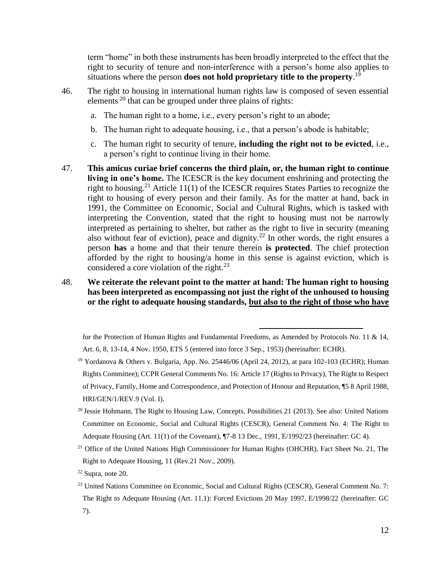<span id="page-11-0"></span>term "home" in both these instruments has been broadly interpreted to the effect that the right to security of tenure and non-interference with a person's home also applies to situations where the person **does not hold proprietary title to the property**. 19

- 46. The right to housing in international human rights law is composed of seven essential elements <sup>20</sup> that can be grouped under three plains of rights:
	- a. The human right to a home, i.e., every person's right to an abode;
	- b. The human right to adequate housing, i.e., that a person's abode is habitable;
	- c. The human right to security of tenure, **including the right not to be evicted**, i.e., a person's right to continue living in their home.
- 47. **This amicus curiae brief concerns the third plain, or, the human right to continue living in one's home.** The ICESCR is the key document enshrining and protecting the right to housing.<sup>21</sup> Article 11(1) of the ICESCR requires States Parties to recognize the right to housing of every person and their family. As for the matter at hand, back in 1991, the Committee on Economic, Social and Cultural Rights, which is tasked with interpreting the Convention, stated that the right to housing must not be narrowly interpreted as pertaining to shelter, but rather as the right to live in security (meaning also without fear of eviction), peace and dignity.<sup>22</sup> In other words, the right ensures a person **has** a home and that their tenure therein **is protected**. The chief protection afforded by the right to housing/a home in this sense is against eviction, which is considered a core violation of the right. $^{23}$

#### 48. **We reiterate the relevant point to the matter at hand: The human right to housing has been interpreted as encompassing not just the right of the unhoused to housing or the right to adequate housing standards, but also to the right of those who have**

<span id="page-11-1"></span>for the Protection of Human Rights and Fundamental Freedoms, as Amended by Protocols No. 11 & 14, Art. 6, 8, 13-14, 4 Nov. 1950, ETS 5 (entered into force 3 Sep., 1953) (hereinafter: ECHR).

- $^{20}$  Jessie Hohmann, The Right to Housing Law, Concepts, Possibilities 21 (2013). See also: United Nations Committee on Economic, Social and Cultural Rights (CESCR), General Comment No. 4: The Right to Adequate Housing (Art. 11(1) of the Covenant), ¶7-8 13 Dec., 1991, E/1992/23 (hereinafter: GC 4).
- <sup>21</sup> Office of the United Nations High Commissioner for Human Rights (OHCHR), Fact Sheet No. 21, The Right to Adequate Housing, 11 (Rev.21 Nov., 2009).
- $22$  Supra, note [20.](#page-11-0)
- <sup>23</sup> United Nations Committee on Economic, Social and Cultural Rights (CESCR), General Comment No. 7: The Right to Adequate Housing (Art. 11.1): Forced Evictions 20 May 1997, E/1998/22 (hereinafter: GC 7).

<sup>&</sup>lt;sup>19</sup> Yordanova & Others v. Bulgaria, App. No. 25446/06 (April 24, 2012), at para 102-103 (ECHR); Human Rights Committee); CCPR General Comments No. 16: Article 17 (Rights to Privacy), The Right to Respect of Privacy, Family, Home and Correspondence, and Protection of Honour and Reputation, ¶5 8 April 1988, HRI/GEN/1/REV.9 (Vol. I).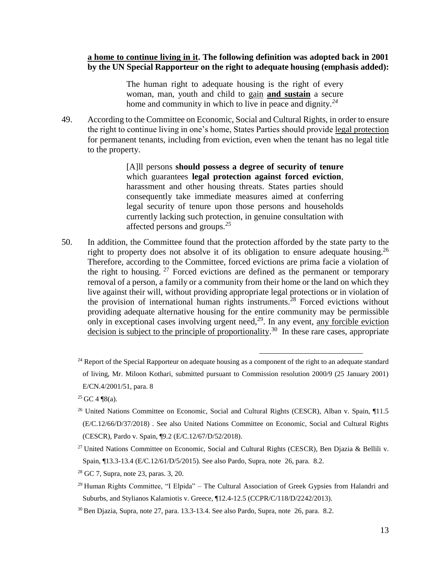#### **a home to continue living in it. The following definition was adopted back in 2001 by the UN Special Rapporteur on the right to adequate housing (emphasis added):**

The human right to adequate housing is the right of every woman, man, youth and child to gain **and sustain** a secure home and community in which to live in peace and dignity.*<sup>24</sup>*

49. According to the Committee on Economic, Social and Cultural Rights, in order to ensure the right to continue living in one's home, States Parties should provide legal protection for permanent tenants, including from eviction, even when the tenant has no legal title to the property.

> <span id="page-12-0"></span>[A]ll persons **should possess a degree of security of tenure**  which guarantees **legal protection against forced eviction**, harassment and other housing threats. States parties should consequently take immediate measures aimed at conferring legal security of tenure upon those persons and households currently lacking such protection, in genuine consultation with affected persons and groups.*<sup>25</sup>*

<span id="page-12-1"></span>50. In addition, the Committee found that the protection afforded by the state party to the right to property does not absolve it of its obligation to ensure adequate housing.<sup>26</sup> Therefore, according to the Committee, forced evictions are prima facie a violation of the right to housing.  $27$  Forced evictions are defined as the permanent or temporary removal of a person, a family or a community from their home or the land on which they live against their will, without providing appropriate legal protections or in violation of the provision of international human rights instruments.<sup>28</sup> Forced evictions without providing adequate alternative housing for the entire community may be permissible only in exceptional cases involving urgent need,  $2<sup>9</sup>$ . In any event, any forcible eviction decision is subject to the principle of proportionality.<sup>30</sup> In these rare cases, appropriate

- <sup>28</sup> GC 7, Supra, note [23,](#page-11-1) paras. 3, 20.
- $^{29}$  Human Rights Committee, "I Elpida" The Cultural Association of Greek Gypsies from Halandri and Suburbs, and Stylianos Kalamiotis v. Greece, ¶12.4-12.5 (CCPR/C/118/D/2242/2013).

<sup>&</sup>lt;sup>24</sup> Report of the Special Rapporteur on adequate housing as a component of the right to an adequate standard of living, Mr. Miloon Kothari, submitted pursuant to Commission resolution 2000/9 (25 January 2001) E/CN.4/2001/51, para. 8

 $25$  GC 4 ¶8(a).

<sup>&</sup>lt;sup>26</sup> United Nations Committee on Economic, Social and Cultural Rights (CESCR), Alban v. Spain, ¶11.5 (E/C.12/66/D/37/2018) . See also United Nations Committee on Economic, Social and Cultural Rights (CESCR), Pardo v. Spain, ¶9.2 (E/C.12/67/D/52/2018).

<sup>&</sup>lt;sup>27</sup> United Nations Committee on Economic, Social and Cultural Rights (CESCR), Ben Djazia & Bellili v. Spain, ¶13.3-13.4 (E/C.12/61/D/5/2015). See also Pardo, Supra, note [26,](#page-12-0) para. 8.2.

<sup>30</sup> Ben Djazia, Supra, note [27,](#page-12-1) para. 13.3-13.4. See also Pardo, Supra, note [26,](#page-12-0) para. 8.2.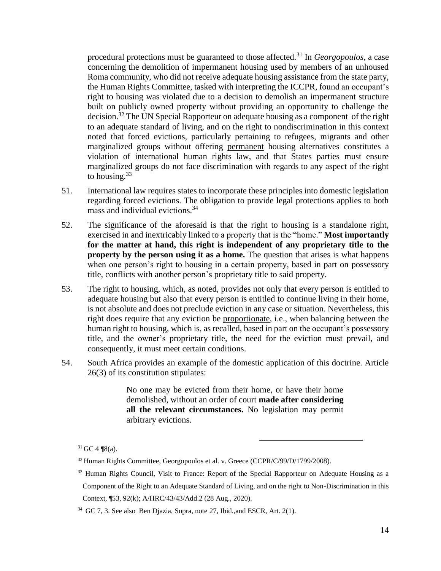procedural protections must be guaranteed to those affected.<sup>31</sup> In *Georgopoulos*, a case concerning the demolition of impermanent housing used by members of an unhoused Roma community, who did not receive adequate housing assistance from the state party, the Human Rights Committee, tasked with interpreting the ICCPR, found an occupant's right to housing was violated due to a decision to demolish an impermanent structure built on publicly owned property without providing an opportunity to challenge the decision.<sup>32</sup> The UN Special Rapporteur on adequate housing as a component of the right to an adequate standard of living, and on the right to nondiscrimination in this context noted that forced evictions, particularly pertaining to refugees, migrants and other marginalized groups without offering permanent housing alternatives constitutes a violation of international human rights law, and that States parties must ensure marginalized groups do not face discrimination with regards to any aspect of the right to housing. $33$ 

- 51. International law requires states to incorporate these principles into domestic legislation regarding forced evictions. The obligation to provide legal protections applies to both mass and individual evictions.<sup>34</sup>
- 52. The significance of the aforesaid is that the right to housing is a standalone right, exercised in and inextricably linked to a property that is the "home." **Most importantly for the matter at hand, this right is independent of any proprietary title to the property by the person using it as a home.** The question that arises is what happens when one person's right to housing in a certain property, based in part on possessory title, conflicts with another person's proprietary title to said property.
- 53. The right to housing, which, as noted, provides not only that every person is entitled to adequate housing but also that every person is entitled to continue living in their home, is not absolute and does not preclude eviction in any case or situation. Nevertheless, this right does require that any eviction be proportionate, i.e., when balancing between the human right to housing, which is, as recalled, based in part on the occupant's possessory title, and the owner's proprietary title, the need for the eviction must prevail, and consequently, it must meet certain conditions.
- 54. South Africa provides an example of the domestic application of this doctrine. Article 26(3) of its constitution stipulates:

No one may be evicted from their home, or have their home demolished, without an order of court **made after considering all the relevant circumstances.** No legislation may permit arbitrary evictions.

 $\overline{a}$ 

 $31$  GC 4 ¶8(a).

 $32$  Human Rights Committee, Georgopoulos et al. v. Greece (CCPR/C/99/D/1799/2008).

<sup>&</sup>lt;sup>33</sup> Human Rights Council, Visit to France: Report of the Special Rapporteur on Adequate Housing as a Component of the Right to an Adequate Standard of Living, and on the right to Non-Discrimination in this Context, ¶53, 92(k); A/HRC/43/43/Add.2 (28 Aug., 2020).

<sup>34</sup> GC 7, 3. See also Ben Djazia, Supra, note [27,](#page-12-1) Ibid.,and ESCR, Art. 2(1).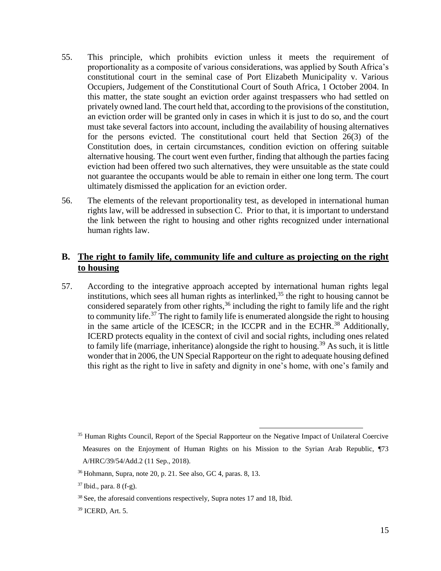- 55. This principle, which prohibits eviction unless it meets the requirement of proportionality as a composite of various considerations, was applied by South Africa's constitutional court in the seminal case of Port Elizabeth Municipality v. Various Occupiers, Judgement of the Constitutional Court of South Africa, 1 October 2004. In this matter, the state sought an eviction order against trespassers who had settled on privately owned land. The court held that, according to the provisions of the constitution, an eviction order will be granted only in cases in which it is just to do so, and the court must take several factors into account, including the availability of housing alternatives for the persons evicted. The constitutional court held that Section 26(3) of the Constitution does, in certain circumstances, condition eviction on offering suitable alternative housing. The court went even further, finding that although the parties facing eviction had been offered two such alternatives, they were unsuitable as the state could not guarantee the occupants would be able to remain in either one long term. The court ultimately dismissed the application for an eviction order.
- 56. The elements of the relevant proportionality test, as developed in international human rights law, will be addressed in subsection C. Prior to that, it is important to understand the link between the right to housing and other rights recognized under international human rights law.

### **B. The right to family life, community life and culture as projecting on the right to housing**

57. According to the integrative approach accepted by international human rights legal institutions, which sees all human rights as interlinked,  $35$  the right to housing cannot be considered separately from other rights,<sup>36</sup> including the right to family life and the right to community life.<sup>37</sup> The right to family life is enumerated alongside the right to housing in the same article of the ICESCR; in the ICCPR and in the ECHR.<sup>38</sup> Additionally, ICERD protects equality in the context of civil and social rights, including ones related to family life (marriage, inheritance) alongside the right to housing.<sup>39</sup> As such, it is little wonder that in 2006, the UN Special Rapporteur on the right to adequate housing defined this right as the right to live in safety and dignity in one's home, with one's family and

<sup>&</sup>lt;sup>35</sup> Human Rights Council, Report of the Special Rapporteur on the Negative Impact of Unilateral Coercive Measures on the Enjoyment of Human Rights on his Mission to the Syrian Arab Republic, ¶73 A/HRC/39/54/Add.2 (11 Sep., 2018).

 $36$  Hohmann, Supra, note 20, p. 21. See also, GC 4, paras. 8, 13.

 $37$  Ibid., para. 8 (f-g).

 $38$  See, the aforesaid conventions respectively, Supra notes 17 and 18, Ibid.

<sup>39</sup> ICERD, Art. 5.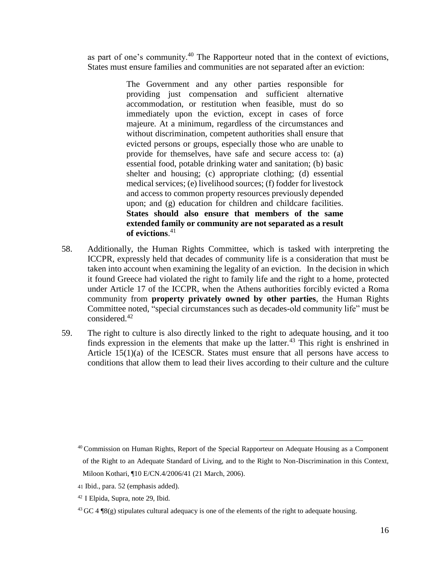as part of one's community.<sup>40</sup> The Rapporteur noted that in the context of evictions, States must ensure families and communities are not separated after an eviction:

> <span id="page-15-0"></span>The Government and any other parties responsible for providing just compensation and sufficient alternative accommodation, or restitution when feasible, must do so immediately upon the eviction, except in cases of force majeure. At a minimum, regardless of the circumstances and without discrimination, competent authorities shall ensure that evicted persons or groups, especially those who are unable to provide for themselves, have safe and secure access to: (a) essential food, potable drinking water and sanitation; (b) basic shelter and housing; (c) appropriate clothing; (d) essential medical services; (e) livelihood sources; (f) fodder for livestock and access to common property resources previously depended upon; and (g) education for children and childcare facilities. **States should also ensure that members of the same extended family or community are not separated as a result of evictions**. 41

- 58. Additionally, the Human Rights Committee, which is tasked with interpreting the ICCPR, expressly held that decades of community life is a consideration that must be taken into account when examining the legality of an eviction. In the decision in which it found Greece had violated the right to family life and the right to a home, protected under Article 17 of the ICCPR, when the Athens authorities forcibly evicted a Roma community from **property privately owned by other parties**, the Human Rights Committee noted, "special circumstances such as decades-old community life" must be considered.<sup>42</sup>
- 59. The right to culture is also directly linked to the right to adequate housing, and it too finds expression in the elements that make up the latter.<sup>43</sup> This right is enshrined in Article 15(1)(a) of the ICESCR. States must ensure that all persons have access to conditions that allow them to lead their lives according to their culture and the culture

<sup>&</sup>lt;sup>40</sup> Commission on Human Rights, Report of the Special Rapporteur on Adequate Housing as a Component of the Right to an Adequate Standard of Living, and to the Right to Non-Discrimination in this Context, Miloon Kothari, ¶10 E/CN.4/2006/41 (21 March, 2006).

<sup>41</sup> Ibid., para. 52 (emphasis added).

<sup>42</sup> I Elpida, Supra, note 29, Ibid.

<sup>&</sup>lt;sup>43</sup> GC 4  $\mathcal{P}(8)$  stipulates cultural adequacy is one of the elements of the right to adequate housing.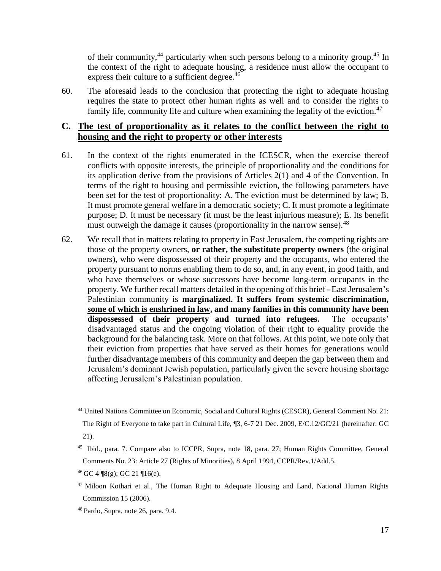of their community,<sup>44</sup> particularly when such persons belong to a minority group.<sup>45</sup> In the context of the right to adequate housing, a residence must allow the occupant to express their culture to a sufficient degree.<sup>46</sup>

60. The aforesaid leads to the conclusion that protecting the right to adequate housing requires the state to protect other human rights as well and to consider the rights to family life, community life and culture when examining the legality of the eviction.<sup>47</sup>

### **C. The test of proportionality as it relates to the conflict between the right to housing and the right to property or other interests**

- 61. In the context of the rights enumerated in the ICESCR, when the exercise thereof conflicts with opposite interests, the principle of proportionality and the conditions for its application derive from the provisions of Articles 2(1) and 4 of the Convention. In terms of the right to housing and permissible eviction, the following parameters have been set for the test of proportionality: A. The eviction must be determined by law; B. It must promote general welfare in a democratic society; C. It must promote a legitimate purpose; D. It must be necessary (it must be the least injurious measure); E. Its benefit must outweigh the damage it causes (proportionality in the narrow sense).<sup>48</sup>
- 62. We recall that in matters relating to property in East Jerusalem, the competing rights are those of the property owners, **or rather, the substitute property owners** (the original owners), who were dispossessed of their property and the occupants, who entered the property pursuant to norms enabling them to do so, and, in any event, in good faith, and who have themselves or whose successors have become long-term occupants in the property. We further recall matters detailed in the opening of this brief - East Jerusalem's Palestinian community is **marginalized. It suffers from systemic discrimination, some of which is enshrined in law, and many families in this community have been dispossessed of their property and turned into refugees.** The occupants' disadvantaged status and the ongoing violation of their right to equality provide the background for the balancing task. More on that follows. At this point, we note only that their eviction from properties that have served as their homes for generations would further disadvantage members of this community and deepen the gap between them and Jerusalem's dominant Jewish population, particularly given the severe housing shortage affecting Jerusalem's Palestinian population.

<sup>44</sup> United Nations Committee on Economic, Social and Cultural Rights (CESCR), General Comment No. 21:

The Right of Everyone to take part in Cultural Life, ¶3, 6-7 21 Dec. 2009, E/C.12/GC/21 (hereinafter: GC 21).

<sup>45</sup> Ibid., para. 7. Compare also to ICCPR, Supra, note 18, para. 27; Human Rights Committee, General Comments No. 23: Article 27 (Rights of Minorities), 8 April 1994, CCPR/Rev.1/Add.5.

 $46$  GC 4 ¶8(g); GC 21 ¶16(e).

<sup>&</sup>lt;sup>47</sup> Miloon Kothari et al., The Human Right to Adequate Housing and Land, National Human Rights Commission 15 (2006).

<sup>48</sup> Pardo, Supra, note [26,](#page-12-0) para. 9.4.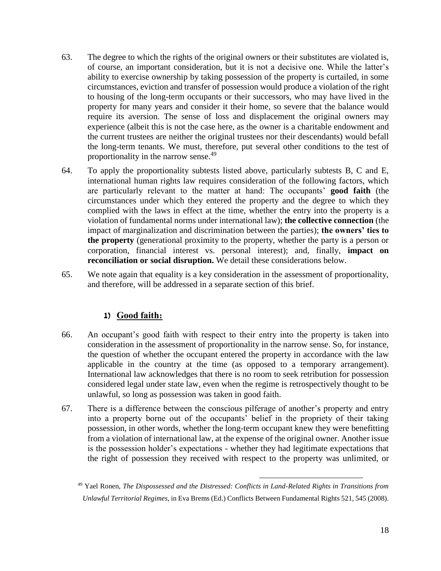- 63. The degree to which the rights of the original owners or their substitutes are violated is, of course, an important consideration, but it is not a decisive one. While the latter's ability to exercise ownership by taking possession of the property is curtailed, in some circumstances, eviction and transfer of possession would produce a violation of the right to housing of the long-term occupants or their successors, who may have lived in the property for many years and consider it their home, so severe that the balance would require its aversion. The sense of loss and displacement the original owners may experience (albeit this is not the case here, as the owner is a charitable endowment and the current trustees are neither the original trustees nor their descendants) would befall the long-term tenants. We must, therefore, put several other conditions to the test of proportionality in the narrow sense.<sup>49</sup>
- 64. To apply the proportionality subtests listed above, particularly subtests B, C and E, international human rights law requires consideration of the following factors, which are particularly relevant to the matter at hand: The occupants' **good faith** (the circumstances under which they entered the property and the degree to which they complied with the laws in effect at the time, whether the entry into the property is a violation of fundamental norms under international law); **the collective connection** (the impact of marginalization and discrimination between the parties); **the owners' ties to the property** (generational proximity to the property, whether the party is a person or corporation, financial interest vs. personal interest); and, finally, **impact on reconciliation or social disruption.** We detail these considerations below.
- 65. We note again that equality is a key consideration in the assessment of proportionality, and therefore, will be addressed in a separate section of this brief.

#### **1) Good faith:**

- 66. An occupant's good faith with respect to their entry into the property is taken into consideration in the assessment of proportionality in the narrow sense. So, for instance, the question of whether the occupant entered the property in accordance with the law applicable in the country at the time (as opposed to a temporary arrangement). International law acknowledges that there is no room to seek retribution for possession considered legal under state law, even when the regime is retrospectively thought to be unlawful, so long as possession was taken in good faith.
- 67. There is a difference between the conscious pilferage of another's property and entry into a property borne out of the occupants' belief in the propriety of their taking possession, in other words, whether the long-term occupant knew they were benefitting from a violation of international law, at the expense of the original owner. Another issue is the possession holder's expectations - whether they had legitimate expectations that the right of possession they received with respect to the property was unlimited, or

<sup>49</sup> Yael Ronen, *The Dispossessed and the Distressed: Conflicts in Land-Related Rights in Transitions from Unlawful Territorial Regimes*, in Eva Brems (Ed.) Conflicts Between Fundamental Rights 521, 545 (2008).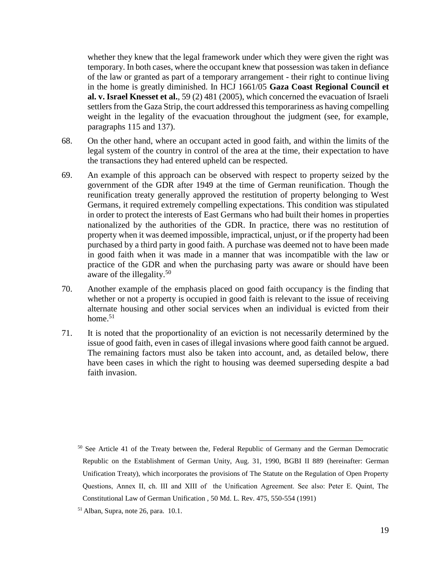whether they knew that the legal framework under which they were given the right was temporary. In both cases, where the occupant knew that possession was taken in defiance of the law or granted as part of a temporary arrangement - their right to continue living in the home is greatly diminished. In HCJ 1661/05 **Gaza Coast Regional Council et al. v. Israel Knesset et al.**, 59 (2) 481 (2005), which concerned the evacuation of Israeli settlers from the Gaza Strip, the court addressed this temporariness as having compelling weight in the legality of the evacuation throughout the judgment (see, for example, paragraphs 115 and 137).

- 68. On the other hand, where an occupant acted in good faith, and within the limits of the legal system of the country in control of the area at the time, their expectation to have the transactions they had entered upheld can be respected.
- 69. An example of this approach can be observed with respect to property seized by the government of the GDR after 1949 at the time of German reunification. Though the reunification treaty generally approved the restitution of property belonging to West Germans, it required extremely compelling expectations. This condition was stipulated in order to protect the interests of East Germans who had built their homes in properties nationalized by the authorities of the GDR. In practice, there was no restitution of property when it was deemed impossible, impractical, unjust, or if the property had been purchased by a third party in good faith. A purchase was deemed not to have been made in good faith when it was made in a manner that was incompatible with the law or practice of the GDR and when the purchasing party was aware or should have been aware of the illegality.<sup>50</sup>
- 70. Another example of the emphasis placed on good faith occupancy is the finding that whether or not a property is occupied in good faith is relevant to the issue of receiving alternate housing and other social services when an individual is evicted from their home. $51$
- 71. It is noted that the proportionality of an eviction is not necessarily determined by the issue of good faith, even in cases of illegal invasions where good faith cannot be argued. The remaining factors must also be taken into account, and, as detailed below, there have been cases in which the right to housing was deemed superseding despite a bad faith invasion.

<sup>&</sup>lt;sup>50</sup> See Article 41 of the Treaty between the, Federal Republic of Germany and the German Democratic Republic on the Establishment of German Unity, Aug. 31, 1990, BGBI II 889 (hereinafter: German Unification Treaty), which incorporates the provisions of The Statute on the Regulation of Open Property Questions, Annex II, ch. III and XIII of the Unification Agreement. See also: Peter E. Quint, The Constitutional Law of German Unification , 50 Md. L. Rev. 475, 550-554 (1991)

 $<sup>51</sup>$  Alban, Supra, note 26, para. 10.1.</sup>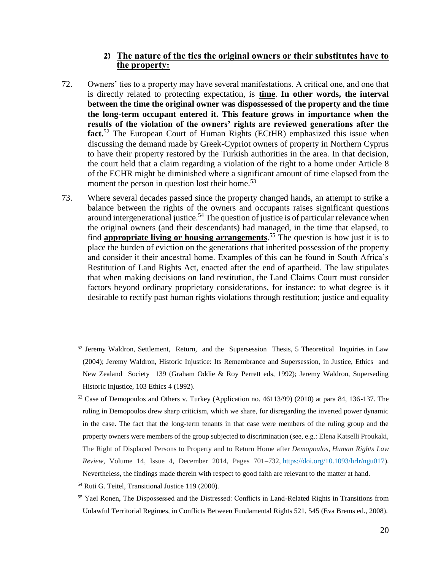#### **2) The nature of the ties the original owners or their substitutes have to the property:**

- 72. Owners' ties to a property may have several manifestations. A critical one, and one that is directly related to protecting expectation, is **time**. **In other words, the interval between the time the original owner was dispossessed of the property and the time the long-term occupant entered it. This feature grows in importance when the results of the violation of the owners' rights are reviewed generations after the fact.**<sup>52</sup> The European Court of Human Rights (ECtHR) emphasized this issue when discussing the demand made by Greek-Cypriot owners of property in Northern Cyprus to have their property restored by the Turkish authorities in the area. In that decision, the court held that a claim regarding a violation of the right to a home under Article 8 of the ECHR might be diminished where a significant amount of time elapsed from the moment the person in question lost their home.<sup>53</sup>
- 73. Where several decades passed since the property changed hands, an attempt to strike a balance between the rights of the owners and occupants raises significant questions around intergenerational justice.<sup>54</sup> The question of justice is of particular relevance when the original owners (and their descendants) had managed, in the time that elapsed, to find **appropriate living or housing arrangements**. <sup>55</sup> The question is how just it is to place the burden of eviction on the generations that inherited possession of the property and consider it their ancestral home. Examples of this can be found in South Africa's Restitution of Land Rights Act, enacted after the end of apartheid. The law stipulates that when making decisions on land restitution, the Land Claims Court must consider factors beyond ordinary proprietary considerations, for instance: to what degree is it desirable to rectify past human rights violations through restitution; justice and equality
	- $52$  Jeremy Waldron, Settlement, Return, and the Supersession Thesis, 5 Theoretical Inquiries in Law (2004); Jeremy Waldron, Historic Injustice: Its Remembrance and Supersession, in Justice, Ethics and New Zealand Society 139 (Graham Oddie & Roy Perrett eds, 1992); Jeremy Waldron, Superseding Historic Injustice, 103 Ethics 4 (1992).

- <sup>53</sup> Case of Demopoulos and Others v. Turkey (Application no. 46113/99) (2010) at para 84, 136-137. The ruling in Demopoulos drew sharp criticism, which we share, for disregarding the inverted power dynamic in the case. The fact that the long-term tenants in that case were members of the ruling group and the property owners were members of the group subjected to discrimination (see, e.g.: Elena Katselli Proukaki, The Right of Displaced Persons to Property and to Return Home after *Demopoulos*, *Human Rights Law Review*, Volume 14, Issue 4, December 2014, Pages 701–732, [https://doi.org/10.1093/hrlr/ngu017\)](https://doi.org/10.1093/hrlr/ngu017). Nevertheless, the findings made therein with respect to good faith are relevant to the matter at hand.
- <sup>54</sup> Ruti G. Teitel, Transitional Justice 119 (2000).
- <sup>55</sup> Yael Ronen, The Dispossessed and the Distressed: Conflicts in Land-Related Rights in Transitions from Unlawful Territorial Regimes, in Conflicts Between Fundamental Rights 521, 545 (Eva Brems ed., 2008).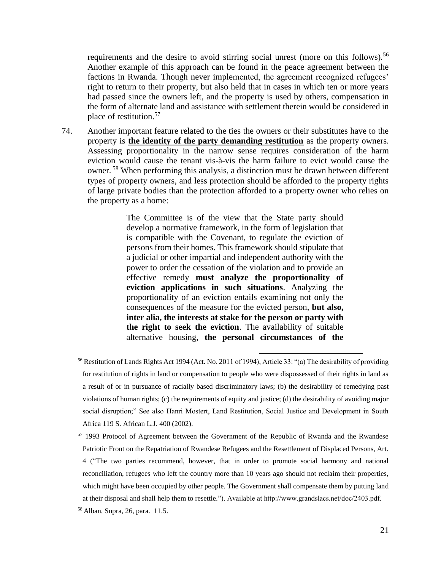requirements and the desire to avoid stirring social unrest (more on this follows).<sup>56</sup> Another example of this approach can be found in the peace agreement between the factions in Rwanda. Though never implemented, the agreement recognized refugees' right to return to their property, but also held that in cases in which ten or more years had passed since the owners left, and the property is used by others, compensation in the form of alternate land and assistance with settlement therein would be considered in place of restitution.<sup>57</sup>

74. Another important feature related to the ties the owners or their substitutes have to the property is **the identity of the party demanding restitution** as the property owners. Assessing proportionality in the narrow sense requires consideration of the harm eviction would cause the tenant vis-à-vis the harm failure to evict would cause the owner. <sup>58</sup> When performing this analysis, a distinction must be drawn between different types of property owners, and less protection should be afforded to the property rights of large private bodies than the protection afforded to a property owner who relies on the property as a home:

> The Committee is of the view that the State party should develop a normative framework, in the form of legislation that is compatible with the Covenant, to regulate the eviction of persons from their homes. This framework should stipulate that a judicial or other impartial and independent authority with the power to order the cessation of the violation and to provide an effective remedy **must analyze the proportionality of eviction applications in such situations**. Analyzing the proportionality of an eviction entails examining not only the consequences of the measure for the evicted person, **but also, inter alia, the interests at stake for the person or party with the right to seek the eviction**. The availability of suitable alternative housing, **the personal circumstances of the**

 $\overline{a}$ 

<sup>57</sup> 1993 Protocol of Agreement between the Government of the Republic of Rwanda and the Rwandese Patriotic Front on the Repatriation of Rwandese Refugees and the Resettlement of Displaced Persons, Art. 4 ("The two parties recommend, however, that in order to promote social harmony and national reconciliation, refugees who left the country more than 10 years ago should not reclaim their properties, which might have been occupied by other people. The Government shall compensate them by putting land at their disposal and shall help them to resettle."). Available at http://www.grandslacs.net/doc/2403.pdf.

<sup>56</sup> Restitution of Lands Rights Act 1994 (Act. No. 2011 of 1994), Article 33: "(a) The desirability of providing for restitution of rights in land or compensation to people who were dispossessed of their rights in land as a result of or in pursuance of racially based discriminatory laws; (b) the desirability of remedying past violations of human rights; (c) the requirements of equity and justice; (d) the desirability of avoiding major social disruption;" See also Hanri Mostert, Land Restitution, Social Justice and Development in South Africa 119 S. African L.J. 400 (2002).

<sup>58</sup> Alban, Supra, [26,](#page-12-0) para. 11.5.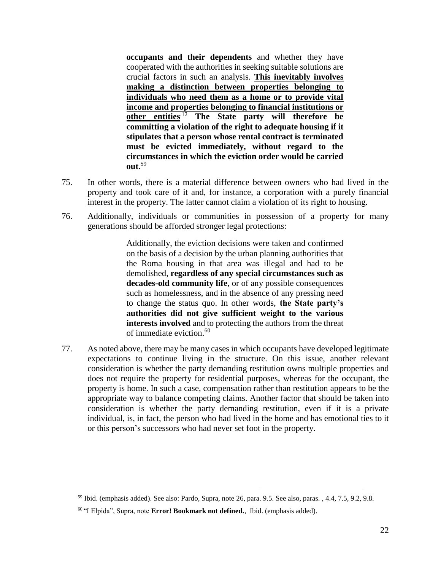**occupants and their dependents** and whether they have cooperated with the authorities in seeking suitable solutions are crucial factors in such an analysis. **This inevitably involves making a distinction between properties belonging to individuals who need them as a home or to provide vital income and properties belonging to financial institutions or other entities**.12 **The State party will therefore be committing a violation of the right to adequate housing if it stipulates that a person whose rental contract is terminated must be evicted immediately, without regard to the circumstances in which the eviction order would be carried out**. 59

- 75. In other words, there is a material difference between owners who had lived in the property and took care of it and, for instance, a corporation with a purely financial interest in the property. The latter cannot claim a violation of its right to housing.
- 76. Additionally, individuals or communities in possession of a property for many generations should be afforded stronger legal protections:

Additionally, the eviction decisions were taken and confirmed on the basis of a decision by the urban planning authorities that the Roma housing in that area was illegal and had to be demolished, **regardless of any special circumstances such as decades-old community life**, or of any possible consequences such as homelessness, and in the absence of any pressing need to change the status quo. In other words, **the State party's authorities did not give sufficient weight to the various interests involved** and to protecting the authors from the threat of immediate eviction.<sup>60</sup>

77. As noted above, there may be many cases in which occupants have developed legitimate expectations to continue living in the structure. On this issue, another relevant consideration is whether the party demanding restitution owns multiple properties and does not require the property for residential purposes, whereas for the occupant, the property is home. In such a case, compensation rather than restitution appears to be the appropriate way to balance competing claims. Another factor that should be taken into consideration is whether the party demanding restitution, even if it is a private individual, is, in fact, the person who had lived in the home and has emotional ties to it or this person's successors who had never set foot in the property.

<sup>59</sup> Ibid. (emphasis added). See also: Pardo, Supra, note [26,](#page-12-0) para. 9.5. See also, paras. , 4.4, 7.5, 9.2, 9.8.

<sup>60</sup> "I Elpida", Supra, note **Error! Bookmark not defined.**, Ibid. (emphasis added).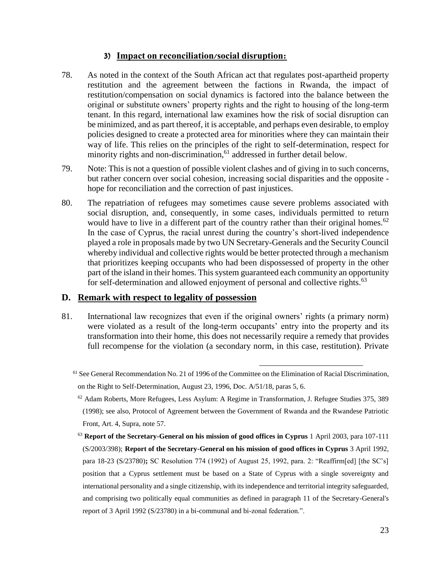#### **3) Impact on reconciliation/social disruption:**

- 78. As noted in the context of the South African act that regulates post-apartheid property restitution and the agreement between the factions in Rwanda, the impact of restitution/compensation on social dynamics is factored into the balance between the original or substitute owners' property rights and the right to housing of the long-term tenant. In this regard, international law examines how the risk of social disruption can be minimized, and as part thereof, it is acceptable, and perhaps even desirable, to employ policies designed to create a protected area for minorities where they can maintain their way of life. This relies on the principles of the right to self-determination, respect for minority rights and non-discrimination,<sup>61</sup> addressed in further detail below.
- 79. Note: This is not a question of possible violent clashes and of giving in to such concerns, but rather concern over social cohesion, increasing social disparities and the opposite hope for reconciliation and the correction of past injustices.
- 80. The repatriation of refugees may sometimes cause severe problems associated with social disruption, and, consequently, in some cases, individuals permitted to return would have to live in a different part of the country rather than their original homes.<sup>62</sup> In the case of Cyprus, the racial unrest during the country's short-lived independence played a role in proposals made by two UN Secretary-Generals and the Security Council whereby individual and collective rights would be better protected through a mechanism that prioritizes keeping occupants who had been dispossessed of property in the other part of the island in their homes. This system guaranteed each community an opportunity for self-determination and allowed enjoyment of personal and collective rights.<sup>63</sup>

#### **D. Remark with respect to legality of possession**

81. International law recognizes that even if the original owners' rights (a primary norm) were violated as a result of the long-term occupants' entry into the property and its transformation into their home, this does not necessarily require a remedy that provides full recompense for the violation (a secondary norm, in this case, restitution). Private

<sup>61</sup> See General Recommendation No. 21 of 1996 of the Committee on the Elimination of Racial Discrimination, on the Right to Self-Determination, August 23, 1996, Doc. A/51/18, paras 5, 6.

 $62$  Adam Roberts, More Refugees, Less Asylum: A Regime in Transformation, J. Refugee Studies 375, 389 (1998); see also, Protocol of Agreement between the Government of Rwanda and the Rwandese Patriotic Front, Art. 4, Supra, note 57.

<sup>63</sup> **Report of the Secretary-General on his mission of good offices in Cyprus** 1 April 2003, para 107-111 (S/2003/398); **Report of the Secretary-General on his mission of good offices in Cyprus** 3 April 1992, para 18-23 (S/23780)**;** SC Resolution 774 (1992) of August 25, 1992, para. 2: "Reaffirm[ed] [the SC's] position that a Cyprus settlement must be based on a State of Cyprus with a single sovereignty and international personality and a single citizenship, with its independence and territorial integrity safeguarded, and comprising two politically equal communities as defined in paragraph 11 of the Secretary-General's report of 3 April 1992 (S/23780) in a bi-communal and bi-zonal federation.".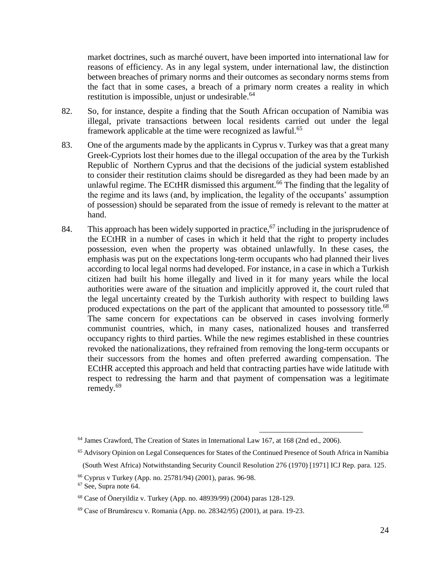market doctrines, such as marché ouvert, have been imported into international law for reasons of efficiency. As in any legal system, under international law, the distinction between breaches of primary norms and their outcomes as secondary norms stems from the fact that in some cases, a breach of a primary norm creates a reality in which restitution is impossible, unjust or undesirable.<sup>64</sup>

- 82. So, for instance, despite a finding that the South African occupation of Namibia was illegal, private transactions between local residents carried out under the legal framework applicable at the time were recognized as lawful.<sup>65</sup>
- 83. One of the arguments made by the applicants in Cyprus v. Turkey was that a great many Greek-Cypriots lost their homes due to the illegal occupation of the area by the Turkish Republic of Northern Cyprus and that the decisions of the judicial system established to consider their restitution claims should be disregarded as they had been made by an unlawful regime. The ECtHR dismissed this argument.<sup>66</sup> The finding that the legality of the regime and its laws (and, by implication, the legality of the occupants' assumption of possession) should be separated from the issue of remedy is relevant to the matter at hand.
- 84. This approach has been widely supported in practice,  $67$  including in the jurisprudence of the ECtHR in a number of cases in which it held that the right to property includes possession, even when the property was obtained unlawfully. In these cases, the emphasis was put on the expectations long-term occupants who had planned their lives according to local legal norms had developed. For instance, in a case in which a Turkish citizen had built his home illegally and lived in it for many years while the local authorities were aware of the situation and implicitly approved it, the court ruled that the legal uncertainty created by the Turkish authority with respect to building laws produced expectations on the part of the applicant that amounted to possessory title.<sup>68</sup> The same concern for expectations can be observed in cases involving formerly communist countries, which, in many cases, nationalized houses and transferred occupancy rights to third parties. While the new regimes established in these countries revoked the nationalizations, they refrained from removing the long-term occupants or their successors from the homes and often preferred awarding compensation. The ECtHR accepted this approach and held that contracting parties have wide latitude with respect to redressing the harm and that payment of compensation was a legitimate remedy.<sup>69</sup>

<sup>64</sup> James Crawford, The Creation of States in International Law 167, at 168 (2nd ed., 2006).

<sup>65</sup> Advisory Opinion on Legal Consequences for States of the Continued Presence of South Africa in Namibia (South West Africa) Notwithstanding Security Council Resolution 276 (1970) [1971] ICJ Rep. para. 125.

<sup>66</sup> Cyprus v Turkey (App. no. 25781/94) (2001), paras. 96-98.

<sup>67</sup> See, Supra note 64.

<sup>68</sup> Case of Öneryildiz v. Turkey (App. no. 48939/99) (2004) paras 128-129.

<sup>69</sup> Case of Brumărescu v. Romania (App. no. 28342/95) (2001), at para. 19-23.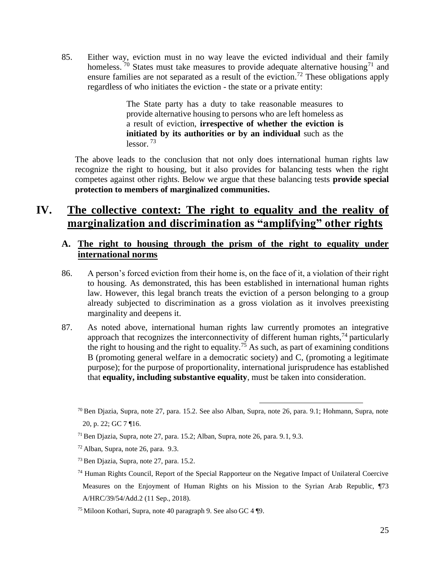85. Either way, eviction must in no way leave the evicted individual and their family homeless.  $70$  States must take measures to provide adequate alternative housing<sup>71</sup> and ensure families are not separated as a result of the eviction.<sup>72</sup> These obligations apply regardless of who initiates the eviction - the state or a private entity:

> The State party has a duty to take reasonable measures to provide alternative housing to persons who are left homeless as a result of eviction, **irrespective of whether the eviction is initiated by its authorities or by an individual** such as the  $lessor.$ <sup>73</sup>

The above leads to the conclusion that not only does international human rights law recognize the right to housing, but it also provides for balancing tests when the right competes against other rights. Below we argue that these balancing tests **provide special protection to members of marginalized communities.**

## **IV. The collective context: The right to equality and the reality of marginalization and discrimination as "amplifying" other rights**

### **A. The right to housing through the prism of the right to equality under international norms**

- 86. A person's forced eviction from their home is, on the face of it, a violation of their right to housing. As demonstrated, this has been established in international human rights law. However, this legal branch treats the eviction of a person belonging to a group already subjected to discrimination as a gross violation as it involves preexisting marginality and deepens it.
- 87. As noted above, international human rights law currently promotes an integrative approach that recognizes the interconnectivity of different human rights, $^{74}$  particularly the right to housing and the right to equality.<sup>75</sup> As such, as part of examining conditions B (promoting general welfare in a democratic society) and C, (promoting a legitimate purpose); for the purpose of proportionality, international jurisprudence has established that **equality, including substantive equality**, must be taken into consideration.

 $^{70}$  Ben Djazia, Supra, note 27, para. 15.2. See also Alban, Supra, note 26, para. 9.1; Hohmann, Supra, note 20, p. 22; GC 7 ¶16.

 $71$  Ben Djazia, Supra, note 27, para. 15.2; Alban, Supra, note 26, para. 9.1, 9.3.

 $72$  Alban, Supra, note 26, para. 9.3.

<sup>73</sup> Ben Djazia, Supra, note 27, para. 15.2.

 $74$  Human Rights Council, Report of the Special Rapporteur on the Negative Impact of Unilateral Coercive Measures on the Enjoyment of Human Rights on his Mission to the Syrian Arab Republic, ¶73 A/HRC/39/54/Add.2 (11 Sep., 2018).

<sup>75</sup> Miloon Kothari, Supra, note [40](#page-15-0) paragraph 9. See also GC 4 ¶9.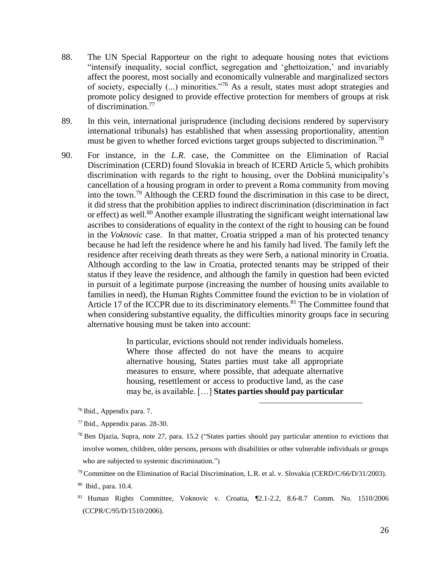- 88. The UN Special Rapporteur on the right to adequate housing notes that evictions "intensify inequality, social conflict, segregation and 'ghettoization,' and invariably affect the poorest, most socially and economically vulnerable and marginalized sectors of society, especially (...) minorities."<sup>76</sup> As a result, states must adopt strategies and promote policy designed to provide effective protection for members of groups at risk of discrimination.<sup>77</sup>
- 89. In this vein, international jurisprudence (including decisions rendered by supervisory international tribunals) has established that when assessing proportionality, attention must be given to whether forced evictions target groups subjected to discrimination.<sup>78</sup>
- 90. For instance, in the *L.R.* case, the Committee on the Elimination of Racial Discrimination (CERD) found Slovakia in breach of ICERD Article 5, which prohibits discrimination with regards to the right to housing, over the Dobšiná municipality's cancellation of a housing program in order to prevent a Roma community from moving into the town.<sup>79</sup> Although the CERD found the discrimination in this case to be direct, it did stress that the prohibition applies to indirect discrimination (discrimination in fact or effect) as well.<sup>80</sup> Another example illustrating the significant weight international law ascribes to considerations of equality in the context of the right to housing can be found in the *Voknovic* case. In that matter, Croatia stripped a man of his protected tenancy because he had left the residence where he and his family had lived. The family left the residence after receiving death threats as they were Serb, a national minority in Croatia. Although according to the law in Croatia, protected tenants may be stripped of their status if they leave the residence, and although the family in question had been evicted in pursuit of a legitimate purpose (increasing the number of housing units available to families in need), the Human Rights Committee found the eviction to be in violation of Article 17 of the ICCPR due to its discriminatory elements.<sup>81</sup> The Committee found that when considering substantive equality, the difficulties minority groups face in securing alternative housing must be taken into account:

In particular, evictions should not render individuals homeless. Where those affected do not have the means to acquire alternative housing, States parties must take all appropriate measures to ensure, where possible, that adequate alternative housing, resettlement or access to productive land, as the case may be, is available. […] **States parties should pay particular** 

 $\overline{a}$ 

<sup>76</sup> Ibid., Appendix para. 7.

<sup>81</sup> Human Rights Committee, Voknovic v. Croatia, ¶2.1-2.2, 8.6-8.7 Comm. No. 1510/2006 (CCPR/C/95/D/1510/2006).

<sup>77</sup> Ibid., Appendix paras. 28-30.

<sup>78</sup> Ben Djazia, Supra, note [27,](#page-12-1) para. 15.2 ("States parties should pay particular attention to evictions that involve women, children, older persons, persons with disabilities or other vulnerable individuals or groups who are subjected to systemic discrimination.")

<sup>&</sup>lt;sup>79</sup> Committee on the Elimination of Racial Discrimination, L.R. et al. v. Slovakia (CERD/C/66/D/31/2003).

<sup>80</sup> Ibid., para. 10.4.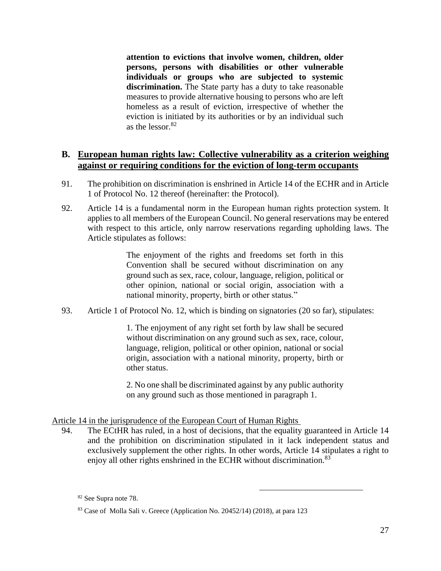**attention to evictions that involve women, children, older persons, persons with disabilities or other vulnerable individuals or groups who are subjected to systemic discrimination.** The State party has a duty to take reasonable measures to provide alternative housing to persons who are left homeless as a result of eviction, irrespective of whether the eviction is initiated by its authorities or by an individual such as the lessor.<sup>82</sup>

#### **B. European human rights law: Collective vulnerability as a criterion weighing against or requiring conditions for the eviction of long-term occupants**

- 91. The prohibition on discrimination is enshrined in Article 14 of the ECHR and in Article 1 of Protocol No. 12 thereof (hereinafter: the Protocol).
- 92. Article 14 is a fundamental norm in the European human rights protection system. It applies to all members of the European Council. No general reservations may be entered with respect to this article, only narrow reservations regarding upholding laws. The Article stipulates as follows:

The enjoyment of the rights and freedoms set forth in this Convention shall be secured without discrimination on any ground such as sex, race, colour, language, religion, political or other opinion, national or social origin, association with a national minority, property, birth or other status."

93. Article 1 of Protocol No. 12, which is binding on signatories (20 so far), stipulates:

1. The enjoyment of any right set forth by law shall be secured without discrimination on any ground such as sex, race, colour, language, religion, political or other opinion, national or social origin, association with a national minority, property, birth or other status.

2. No one shall be discriminated against by any public authority on any ground such as those mentioned in paragraph 1.

#### Article 14 in the jurisprudence of the European Court of Human Rights

94. The ECtHR has ruled, in a host of decisions, that the equality guaranteed in Article 14 and the prohibition on discrimination stipulated in it lack independent status and exclusively supplement the other rights. In other words, Article 14 stipulates a right to enjoy all other rights enshrined in the ECHR without discrimination.<sup>83</sup>

<sup>82</sup> See Supra note 78.

<sup>83</sup> Case of Molla Sali v. Greece (Application No. 20452/14) (2018), at para 123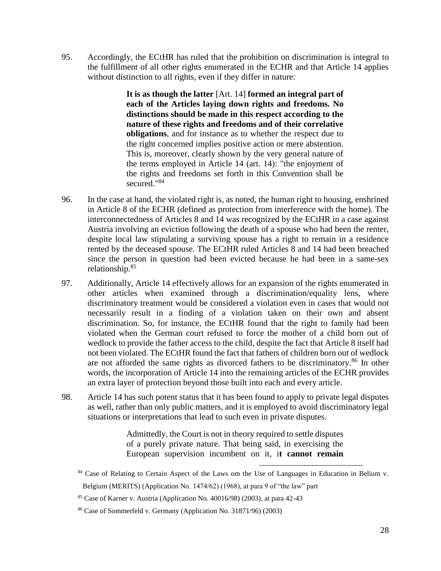95. Accordingly, the ECtHR has ruled that the prohibition on discrimination is integral to the fulfillment of all other rights enumerated in the ECHR and that Article 14 applies without distinction to all rights, even if they differ in nature:

> **It is as though the latter** [Art. 14] **formed an integral part of each of the Articles laying down rights and freedoms. No distinctions should be made in this respect according to the nature of these rights and freedoms and of their correlative obligations**, and for instance as to whether the respect due to the right concerned implies positive action or mere abstention. This is, moreover, clearly shown by the very general nature of the terms employed in Article 14 (art. 14): "the enjoyment of the rights and freedoms set forth in this Convention shall be secured."<sup>84</sup>

- 96. In the case at hand, the violated right is, as noted, the human right to housing, enshrined in Article 8 of the ECHR (defined as protection from interference with the home). The interconnectedness of Articles 8 and 14 was recognized by the ECtHR in a case against Austria involving an eviction following the death of a spouse who had been the renter, despite local law stipulating a surviving spouse has a right to remain in a residence rented by the deceased spouse. The ECtHR ruled Articles 8 and 14 had been breached since the person in question had been evicted because he had been in a same-sex relationship.<sup>85</sup>
- 97. Additionally, Article 14 effectively allows for an expansion of the rights enumerated in other articles when examined through a discrimination/equality lens, where discriminatory treatment would be considered a violation even in cases that would not necessarily result in a finding of a violation taken on their own and absent discrimination. So, for instance, the ECtHR found that the right to family had been violated when the German court refused to force the mother of a child born out of wedlock to provide the father access to the child, despite the fact that Article 8 itself had not been violated. The ECtHR found the fact that fathers of children born out of wedlock are not afforded the same rights as divorced fathers to be discriminatory.<sup>86</sup> In other words, the incorporation of Article 14 into the remaining articles of the ECHR provides an extra layer of protection beyond those built into each and every article.
- 98. Article 14 has such potent status that it has been found to apply to private legal disputes as well, rather than only public matters, and it is employed to avoid discriminatory legal situations or interpretations that lead to such even in private disputes.

Admittedly, the Court is not in theory required to settle disputes of a purely private nature. That being said, in exercising the European supervision incumbent on it, i**t cannot remain** 

 $\overline{a}$ <sup>84</sup> Case of Relating to Certain Aspect of the Laws om the Use of Languages in Education in Belium v. Belgium (MERITS) (Application No. 1474/62) (1968), at para 9 of "the law" part

 $85$  Case of Karner v. Austria (Application No. 40016/98) (2003), at para 42-43

<sup>86</sup> Case of Sommerfeld v. Germany (Application No. 31871/96) (2003)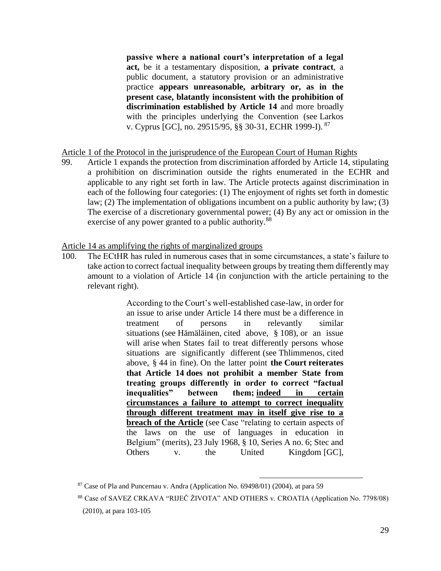**passive where a national court's interpretation of a legal act,** be it a testamentary disposition, **a private contract**, a public document, a statutory provision or an administrative practice **appears unreasonable, arbitrary or, as in the present case, blatantly inconsistent with the prohibition of discrimination established by Article 14** and more broadly with the principles underlying the Convention (see Larkos v. Cyprus [GC], no. [29515/95,](https://hudoc.echr.coe.int/eng#{%22appno%22:[%2229515/95%22]}) §§ 30-31, ECHR 1999-I). <sup>87</sup>

Article 1 of the Protocol in the jurisprudence of the European Court of Human Rights

99. Article 1 expands the protection from discrimination afforded by Article 14, stipulating a prohibition on discrimination outside the rights enumerated in the ECHR and applicable to any right set forth in law. The Article protects against discrimination in each of the following four categories: (1) The enjoyment of rights set forth in domestic law; (2) The implementation of obligations incumbent on a public authority by law; (3) The exercise of a discretionary governmental power; (4) By any act or omission in the exercise of any power granted to a public authority.<sup>88</sup>

Article 14 as amplifying the rights of marginalized groups

100. The ECtHR has ruled in numerous cases that in some circumstances, a state's failure to take action to correct factual inequality between groups by treating them differently may amount to a violation of Article 14 (in conjunction with the article pertaining to the relevant right).

> According to the Court's well-established case-law, in order for an issue to arise under Article 14 there must be a difference in treatment of persons in relevantly similar situations (see Hämäläinen, cited above, § 108), or an issue will arise when States fail to treat differently persons whose situations are significantly different (see Thlimmenos, cited above, § 44 in fine). On the latter point **the Court reiterates that Article 14 does not prohibit a member State from treating groups differently in order to correct "factual inequalities" between them; indeed in certain circumstances a failure to attempt to correct inequality through different treatment may in itself give rise to a breach of the Article** (see Case "relating to certain aspects of the laws on the use of languages in education in Belgium" (merits), 23 July 1968, § 10, Series A no. 6; Stec and Others v. the United Kingdom [GC],

 $87$  Case of Pla and Puncernau v. Andra (Application No. 69498/01) (2004), at para 59

<sup>88</sup> Case of SAVEZ CRKAVA "RIJEČ ŽIVOTA" AND OTHERS v. CROATIA (Application No. 7798/08) (2010), at para 103-105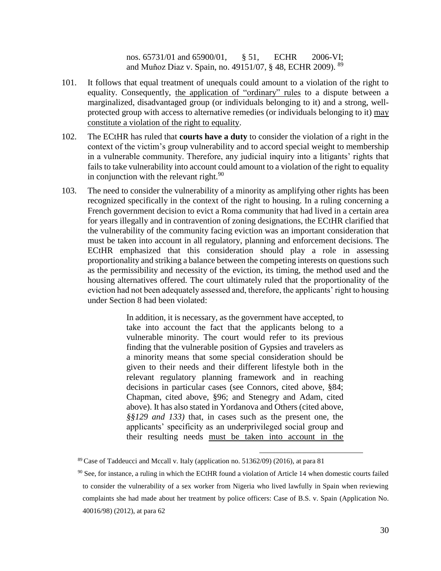nos. [65731/01](https://hudoc.echr.coe.int/eng#{%22appno%22:[%2265731/01%22]}) and [65900/01,](https://hudoc.echr.coe.int/eng#{%22appno%22:[%2265900/01%22]}) § 51, ECHR 2006-VI; and Muňoz Diaz v. Spain, no. [49151/07,](https://hudoc.echr.coe.int/eng#{%22appno%22:[%2249151/07%22]}) § 48, ECHR 2009). <sup>89</sup>

- 101. It follows that equal treatment of unequals could amount to a violation of the right to equality. Consequently, the application of "ordinary" rules to a dispute between a marginalized, disadvantaged group (or individuals belonging to it) and a strong, wellprotected group with access to alternative remedies (or individuals belonging to it) may constitute a violation of the right to equality.
- 102. The ECtHR has ruled that **courts have a duty** to consider the violation of a right in the context of the victim's group vulnerability and to accord special weight to membership in a vulnerable community. Therefore, any judicial inquiry into a litigants' rights that fails to take vulnerability into account could amount to a violation of the right to equality in conjunction with the relevant right.<sup>90</sup>
- 103. The need to consider the vulnerability of a minority as amplifying other rights has been recognized specifically in the context of the right to housing. In a ruling concerning a French government decision to evict a Roma community that had lived in a certain area for years illegally and in contravention of zoning designations, the ECtHR clarified that the vulnerability of the community facing eviction was an important consideration that must be taken into account in all regulatory, planning and enforcement decisions. The ECtHR emphasized that this consideration should play a role in assessing proportionality and striking a balance between the competing interests on questions such as the permissibility and necessity of the eviction, its timing, the method used and the housing alternatives offered. The court ultimately ruled that the proportionality of the eviction had not been adequately assessed and, therefore, the applicants' right to housing under Section 8 had been violated:

In addition, it is necessary, as the government have accepted, to take into account the fact that the applicants belong to a vulnerable minority. The court would refer to its previous finding that the vulnerable position of Gypsies and travelers as a minority means that some special consideration should be given to their needs and their different lifestyle both in the relevant regulatory planning framework and in reaching decisions in particular cases (see Connors, cited above, §84; Chapman, cited above, §96; and Stenegry and Adam, cited above). It has also stated in Yordanova and Others (cited above, *§§129 and 133)* that, in cases such as the present one, the applicants' specificity as an underprivileged social group and their resulting needs must be taken into account in the

 $89$  Case of Taddeucci and Mccall v. Italy (application no. 51362/09) (2016), at para 81

 $90$  See, for instance, a ruling in which the ECtHR found a violation of Article 14 when domestic courts failed to consider the vulnerability of a sex worker from Nigeria who lived lawfully in Spain when reviewing complaints she had made about her treatment by police officers: Case of B.S. v. Spain (Application No. 40016/98) (2012), at para 62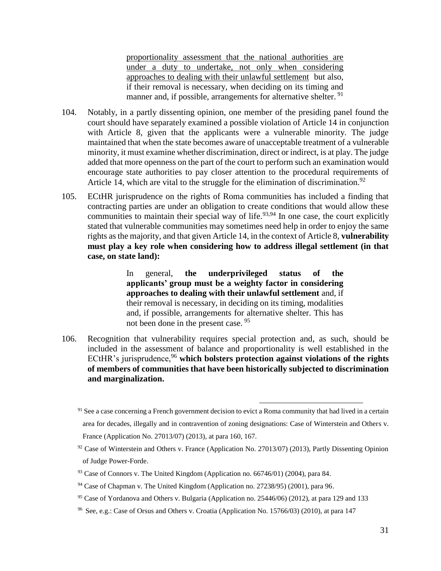proportionality assessment that the national authorities are under a duty to undertake, not only when considering approaches to dealing with their unlawful settlement but also, if their removal is necessary, when deciding on its timing and manner and, if possible, arrangements for alternative shelter.<sup>91</sup>

- 104. Notably, in a partly dissenting opinion, one member of the presiding panel found the court should have separately examined a possible violation of Article 14 in conjunction with Article 8, given that the applicants were a vulnerable minority. The judge maintained that when the state becomes aware of unacceptable treatment of a vulnerable minority, it must examine whether discrimination, direct or indirect, is at play. The judge added that more openness on the part of the court to perform such an examination would encourage state authorities to pay closer attention to the procedural requirements of Article 14, which are vital to the struggle for the elimination of discrimination.<sup>92</sup>
- 105. ECtHR jurisprudence on the rights of Roma communities has included a finding that contracting parties are under an obligation to create conditions that would allow these communities to maintain their special way of life.<sup>93,94</sup> In one case, the court explicitly stated that vulnerable communities may sometimes need help in order to enjoy the same rights as the majority, and that given Article 14, in the context of Article 8, **vulnerability must play a key role when considering how to address illegal settlement (in that case, on state land):**

In general, **the underprivileged status of the applicants' group must be a weighty factor in considering approaches to dealing with their unlawful settlement** and, if their removal is necessary, in deciding on its timing, modalities and, if possible, arrangements for alternative shelter. This has not been done in the present case. <sup>95</sup>

106. Recognition that vulnerability requires special protection and, as such, should be included in the assessment of balance and proportionality is well established in the ECtHR's jurisprudence,<sup>96</sup> which bolsters protection against violations of the rights **of members of communities that have been historically subjected to discrimination and marginalization.**

<sup>&</sup>lt;sup>91</sup> See a case concerning a French government decision to evict a Roma community that had lived in a certain area for decades, illegally and in contravention of zoning designations: Case of Winterstein and Others v. France (Application No. 27013/07) (2013), at para 160, 167.

 $92$  Case of Winterstein and Others v. France (Application No. 27013/07) (2013), Partly Dissenting Opinion of Judge Power-Forde.

 $93$  Case of Connors v. The United Kingdom (Application no. 66746/01) (2004), para 84.

 $94$  Case of Chapman v. The United Kingdom (Application no. 27238/95) (2001), para 96.

<sup>95</sup> Case of Yordanova and Others v. Bulgaria (Application no. 25446/06) (2012), at para 129 and 133

<sup>96</sup> See, e.g.: Case of Orsus and Others v. Croatia (Application No. 15766/03) (2010), at para 147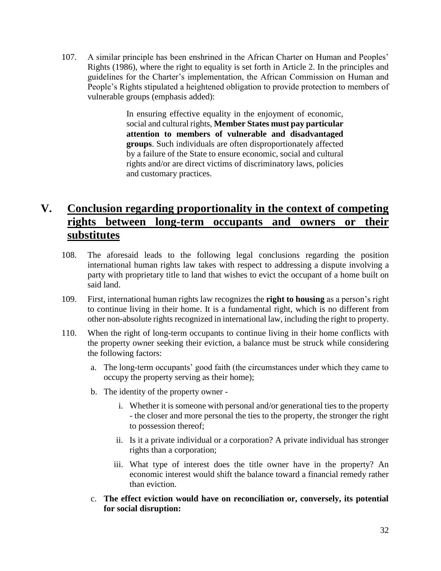107. A similar principle has been enshrined in the African Charter on Human and Peoples' Rights (1986), where the right to equality is set forth in Article 2. In the principles and guidelines for the Charter's implementation, the African Commission on Human and People's Rights stipulated a heightened obligation to provide protection to members of vulnerable groups (emphasis added):

> In ensuring effective equality in the enjoyment of economic, social and cultural rights, **Member States must pay particular attention to members of vulnerable and disadvantaged groups**. Such individuals are often disproportionately affected by a failure of the State to ensure economic, social and cultural rights and/or are direct victims of discriminatory laws, policies and customary practices.

# **V. Conclusion regarding proportionality in the context of competing rights between long-term occupants and owners or their substitutes**

- 108. The aforesaid leads to the following legal conclusions regarding the position international human rights law takes with respect to addressing a dispute involving a party with proprietary title to land that wishes to evict the occupant of a home built on said land.
- 109. First, international human rights law recognizes the **right to housing** as a person's right to continue living in their home. It is a fundamental right, which is no different from other non-absolute rights recognized in international law, including the right to property.
- 110. When the right of long-term occupants to continue living in their home conflicts with the property owner seeking their eviction, a balance must be struck while considering the following factors:
	- a. The long-term occupants' good faith (the circumstances under which they came to occupy the property serving as their home);
	- b. The identity of the property owner
		- i. Whether it is someone with personal and/or generational ties to the property - the closer and more personal the ties to the property, the stronger the right to possession thereof;
		- ii. Is it a private individual or a corporation? A private individual has stronger rights than a corporation;
		- iii. What type of interest does the title owner have in the property? An economic interest would shift the balance toward a financial remedy rather than eviction.
	- c. **The effect eviction would have on reconciliation or, conversely, its potential for social disruption:**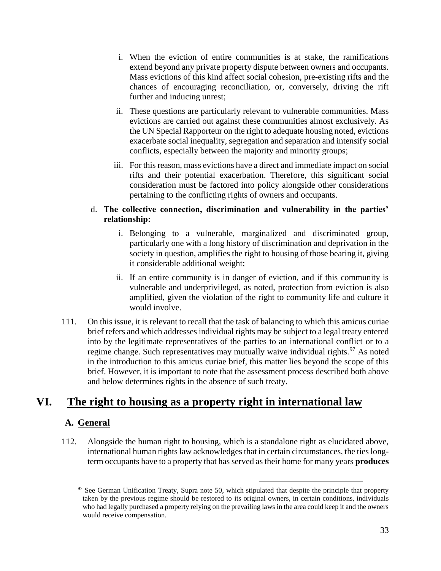- i. When the eviction of entire communities is at stake, the ramifications extend beyond any private property dispute between owners and occupants. Mass evictions of this kind affect social cohesion, pre-existing rifts and the chances of encouraging reconciliation, or, conversely, driving the rift further and inducing unrest;
- ii. These questions are particularly relevant to vulnerable communities. Mass evictions are carried out against these communities almost exclusively. As the UN Special Rapporteur on the right to adequate housing noted, evictions exacerbate social inequality, segregation and separation and intensify social conflicts, especially between the majority and minority groups;
- iii. For this reason, mass evictions have a direct and immediate impact on social rifts and their potential exacerbation. Therefore, this significant social consideration must be factored into policy alongside other considerations pertaining to the conflicting rights of owners and occupants.

#### d. **The collective connection, discrimination and vulnerability in the parties' relationship:**

- i. Belonging to a vulnerable, marginalized and discriminated group, particularly one with a long history of discrimination and deprivation in the society in question, amplifies the right to housing of those bearing it, giving it considerable additional weight;
- ii. If an entire community is in danger of eviction, and if this community is vulnerable and underprivileged, as noted, protection from eviction is also amplified, given the violation of the right to community life and culture it would involve.
- 111. On this issue, it is relevant to recall that the task of balancing to which this amicus curiae brief refers and which addresses individual rights may be subject to a legal treaty entered into by the legitimate representatives of the parties to an international conflict or to a regime change. Such representatives may mutually waive individual rights.<sup>97</sup> As noted in the introduction to this amicus curiae brief, this matter lies beyond the scope of this brief. However, it is important to note that the assessment process described both above and below determines rights in the absence of such treaty.

# **VI. The right to housing as a property right in international law**

## **A. General**

112. Alongside the human right to housing, which is a standalone right as elucidated above, international human rights law acknowledges that in certain circumstances, the ties longterm occupants have to a property that has served as their home for many years **produces** 

 $\overline{a}$  $97$  See German Unification Treaty, Supra note 50, which stipulated that despite the principle that property taken by the previous regime should be restored to its original owners, in certain conditions, individuals who had legally purchased a property relying on the prevailing laws in the area could keep it and the owners would receive compensation.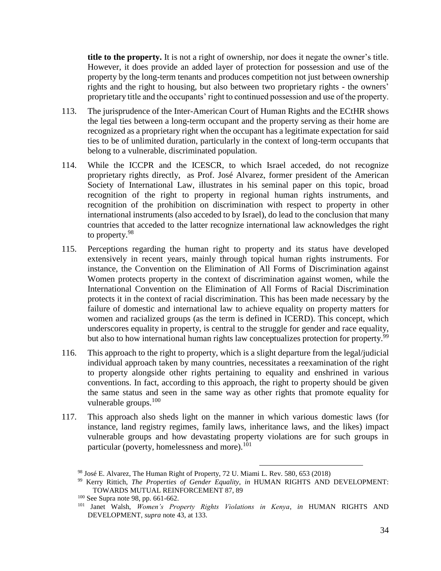**title to the property.** It is not a right of ownership, nor does it negate the owner's title. However, it does provide an added layer of protection for possession and use of the property by the long-term tenants and produces competition not just between ownership rights and the right to housing, but also between two proprietary rights - the owners' proprietary title and the occupants' right to continued possession and use of the property.

- 113. The jurisprudence of the Inter-American Court of Human Rights and the ECtHR shows the legal ties between a long-term occupant and the property serving as their home are recognized as a proprietary right when the occupant has a legitimate expectation for said ties to be of unlimited duration, particularly in the context of long-term occupants that belong to a vulnerable, discriminated population.
- 114. While the ICCPR and the ICESCR, to which Israel acceded, do not recognize proprietary rights directly, as Prof. José Alvarez, former president of the American Society of International Law, illustrates in his seminal paper on this topic, broad recognition of the right to property in regional human rights instruments, and recognition of the prohibition on discrimination with respect to property in other international instruments (also acceded to by Israel), do lead to the conclusion that many countries that acceded to the latter recognize international law acknowledges the right to property.<sup>98</sup>
- 115. Perceptions regarding the human right to property and its status have developed extensively in recent years, mainly through topical human rights instruments. For instance, the Convention on the Elimination of All Forms of Discrimination against Women protects property in the context of discrimination against women, while the International Convention on the Elimination of All Forms of Racial Discrimination protects it in the context of racial discrimination. This has been made necessary by the failure of domestic and international law to achieve equality on property matters for women and racialized groups (as the term is defined in ICERD). This concept, which underscores equality in property, is central to the struggle for gender and race equality, but also to how international human rights law conceptualizes protection for property.<sup>99</sup>
- 116. This approach to the right to property, which is a slight departure from the legal/judicial individual approach taken by many countries, necessitates a reexamination of the right to property alongside other rights pertaining to equality and enshrined in various conventions. In fact, according to this approach, the right to property should be given the same status and seen in the same way as other rights that promote equality for vulnerable groups.<sup>100</sup>
- 117. This approach also sheds light on the manner in which various domestic laws (for instance, land registry regimes, family laws, inheritance laws, and the likes) impact vulnerable groups and how devastating property violations are for such groups in particular (poverty, homelessness and more). $101$

<sup>98</sup> José E. Alvarez, The Human Right of Property, 72 U. Miami L. Rev. 580, 653 (2018)

<sup>99</sup> Kerry Rittich, *The Properties of Gender Equality*, *in* HUMAN RIGHTS AND DEVELOPMENT: TOWARDS MUTUAL REINFORCEMENT 87, 89

<sup>100</sup> See Supra note 98, pp. 661-662.

<sup>101</sup> Janet Walsh, *Women's Property Rights Violations in Kenya*, *in* HUMAN RIGHTS AND DEVELOPMENT, *supra* note 43, at 133.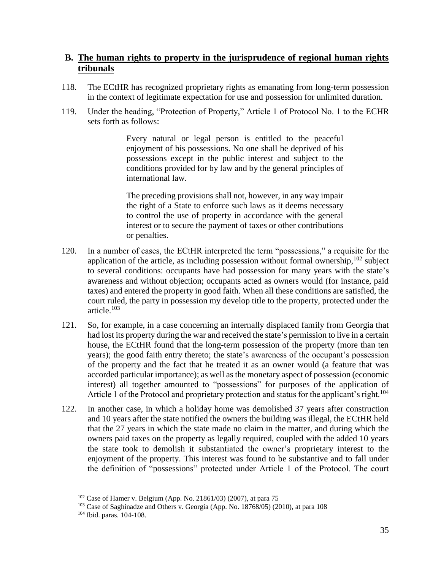### **B. The human rights to property in the jurisprudence of regional human rights tribunals**

- 118. The ECtHR has recognized proprietary rights as emanating from long-term possession in the context of legitimate expectation for use and possession for unlimited duration.
- 119. Under the heading, "Protection of Property," Article 1 of Protocol No. 1 to the ECHR sets forth as follows:

Every natural or legal person is entitled to the peaceful enjoyment of his possessions. No one shall be deprived of his possessions except in the public interest and subject to the conditions provided for by law and by the general principles of international law.

The preceding provisions shall not, however, in any way impair the right of a State to enforce such laws as it deems necessary to control the use of property in accordance with the general interest or to secure the payment of taxes or other contributions or penalties.

- 120. In a number of cases, the ECtHR interpreted the term "possessions," a requisite for the application of the article, as including possession without formal ownership, $102$  subject to several conditions: occupants have had possession for many years with the state's awareness and without objection; occupants acted as owners would (for instance, paid taxes) and entered the property in good faith. When all these conditions are satisfied, the court ruled, the party in possession my develop title to the property, protected under the article.<sup>103</sup>
- 121. So, for example, in a case concerning an internally displaced family from Georgia that had lost its property during the war and received the state's permission to live in a certain house, the ECtHR found that the long-term possession of the property (more than ten years); the good faith entry thereto; the state's awareness of the occupant's possession of the property and the fact that he treated it as an owner would (a feature that was accorded particular importance); as well as the monetary aspect of possession (economic interest) all together amounted to "possessions" for purposes of the application of Article 1 of the Protocol and proprietary protection and status for the applicant's right.<sup>104</sup>
- 122. In another case, in which a holiday home was demolished 37 years after construction and 10 years after the state notified the owners the building was illegal, the ECtHR held that the 27 years in which the state made no claim in the matter, and during which the owners paid taxes on the property as legally required, coupled with the added 10 years the state took to demolish it substantiated the owner's proprietary interest to the enjoyment of the property. This interest was found to be substantive and to fall under the definition of "possessions" protected under Article 1 of the Protocol. The court

 $102$  Case of Hamer v. Belgium (App. No. 21861/03) (2007), at para 75

<sup>103</sup> Case of Saghinadze and Others v. Georgia (App. No. 18768/05) (2010), at para 108

<sup>104</sup> Ibid. paras. 104-108.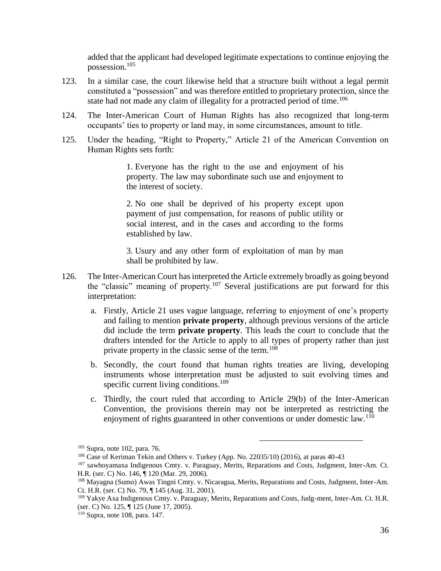added that the applicant had developed legitimate expectations to continue enjoying the possession.<sup>105</sup>

- 123. In a similar case, the court likewise held that a structure built without a legal permit constituted a "possession" and was therefore entitled to proprietary protection, since the state had not made any claim of illegality for a protracted period of time.<sup>106</sup>
- 124. The Inter-American Court of Human Rights has also recognized that long-term occupants' ties to property or land may, in some circumstances, amount to title.
- 125. Under the heading, "Right to Property," Article 21 of the American Convention on Human Rights sets forth:

1. Everyone has the right to the use and enjoyment of his property. The law may subordinate such use and enjoyment to the interest of society.

2. No one shall be deprived of his property except upon payment of just compensation, for reasons of public utility or social interest, and in the cases and according to the forms established by law.

3. Usury and any other form of exploitation of man by man shall be prohibited by law.

- 126. The Inter-American Court has interpreted the Article extremely broadly as going beyond the "classic" meaning of property.<sup>107</sup> Several justifications are put forward for this interpretation:
	- a. Firstly, Article 21 uses vague language, referring to enjoyment of one's property and failing to mention **private property**, although previous versions of the article did include the term **private property**. This leads the court to conclude that the drafters intended for the Article to apply to all types of property rather than just private property in the classic sense of the term.<sup>108</sup>
	- b. Secondly, the court found that human rights treaties are living, developing instruments whose interpretation must be adjusted to suit evolving times and specific current living conditions. $109$
	- c. Thirdly, the court ruled that according to Article 29(b) of the Inter-American Convention, the provisions therein may not be interpreted as restricting the enjoyment of rights guaranteed in other conventions or under domestic law.<sup>110</sup>

<sup>105</sup> Supra, note 102, para. 76.

 $106$  Case of Keriman Tekin and Others v. Turkey (App. No. 22035/10) (2016), at paras 40-43

<sup>107</sup> sawhoyamaxa Indigenous Cmty. v. Paraguay, Merits, Reparations and Costs, Judgment, Inter-Am. Ct. H.R. (ser. C) No. 146, ¶ 120 (Mar. 29, 2006).

<sup>108</sup> Mayagna (Sumo) Awas Tingni Cmty. v. Nicaragua, Merits, Reparations and Costs, Judgment, Inter-Am. Ct. H.R. (ser. C) No. 79, ¶ 145 (Aug. 31, 2001).

<sup>109</sup> Yakye Axa Indigenous Cmty. v. Paraguay, Merits, Reparations and Costs, Judg-ment, Inter-Am. Ct. H.R. (ser. C) No. 125, ¶ 125 (June 17, 2005).

<sup>110</sup> Supra, note 108, para. 147.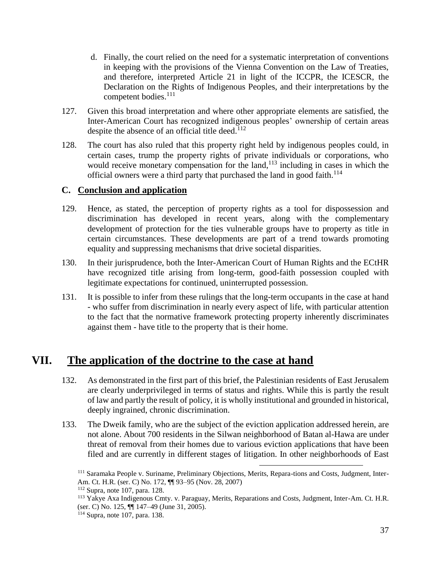- d. Finally, the court relied on the need for a systematic interpretation of conventions in keeping with the provisions of the Vienna Convention on the Law of Treaties, and therefore, interpreted Article 21 in light of the ICCPR, the ICESCR, the Declaration on the Rights of Indigenous Peoples, and their interpretations by the competent bodies.<sup>111</sup>
- 127. Given this broad interpretation and where other appropriate elements are satisfied, the Inter-American Court has recognized indigenous peoples' ownership of certain areas despite the absence of an official title deed. $112$
- 128. The court has also ruled that this property right held by indigenous peoples could, in certain cases, trump the property rights of private individuals or corporations, who would receive monetary compensation for the land, $113$  including in cases in which the official owners were a third party that purchased the land in good faith.<sup>114</sup>

### **C. Conclusion and application**

- 129. Hence, as stated, the perception of property rights as a tool for dispossession and discrimination has developed in recent years, along with the complementary development of protection for the ties vulnerable groups have to property as title in certain circumstances. These developments are part of a trend towards promoting equality and suppressing mechanisms that drive societal disparities.
- 130. In their jurisprudence, both the Inter-American Court of Human Rights and the ECtHR have recognized title arising from long-term, good-faith possession coupled with legitimate expectations for continued, uninterrupted possession.
- 131. It is possible to infer from these rulings that the long-term occupants in the case at hand - who suffer from discrimination in nearly every aspect of life, with particular attention to the fact that the normative framework protecting property inherently discriminates against them - have title to the property that is their home.

## **VII. The application of the doctrine to the case at hand**

- 132. As demonstrated in the first part of this brief, the Palestinian residents of East Jerusalem are clearly underprivileged in terms of status and rights. While this is partly the result of law and partly the result of policy, it is wholly institutional and grounded in historical, deeply ingrained, chronic discrimination.
- 133. The Dweik family, who are the subject of the eviction application addressed herein, are not alone. About 700 residents in the Silwan neighborhood of Batan al-Hawa are under threat of removal from their homes due to various eviction applications that have been filed and are currently in different stages of litigation. In other neighborhoods of East

<sup>111</sup> Saramaka People v. Suriname, Preliminary Objections, Merits, Repara-tions and Costs, Judgment, Inter-Am. Ct. H.R. (ser. C) No. 172, ¶¶ 93–95 (Nov. 28, 2007)

<sup>112</sup> Supra, note 107, para. 128.

<sup>113</sup> Yakye Axa Indigenous Cmty. v. Paraguay, Merits, Reparations and Costs, Judgment, Inter-Am. Ct. H.R. (ser. C) No. 125, ¶¶ 147–49 (June 31, 2005).

<sup>114</sup> Supra, note 107, para. 138.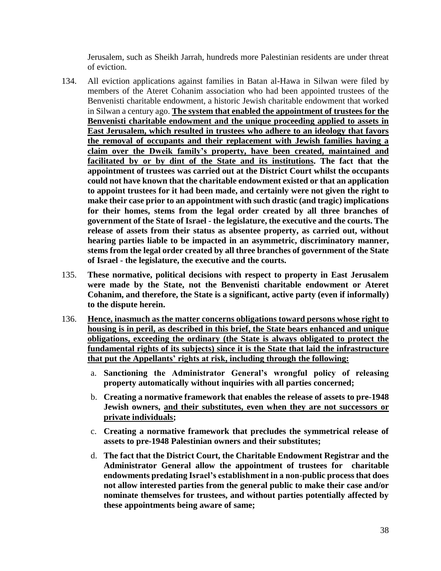Jerusalem, such as Sheikh Jarrah, hundreds more Palestinian residents are under threat of eviction.

- 134. All eviction applications against families in Batan al-Hawa in Silwan were filed by members of the Ateret Cohanim association who had been appointed trustees of the Benvenisti charitable endowment, a historic Jewish charitable endowment that worked in Silwan a century ago. **The system that enabled the appointment of trustees for the Benvenisti charitable endowment and the unique proceeding applied to assets in East Jerusalem, which resulted in trustees who adhere to an ideology that favors the removal of occupants and their replacement with Jewish families having a claim over the Dweik family's property, have been created, maintained and facilitated by or by dint of the State and its institutions. The fact that the appointment of trustees was carried out at the District Court whilst the occupants could not have known that the charitable endowment existed or that an application to appoint trustees for it had been made, and certainly were not given the right to make their case prior to an appointment with such drastic (and tragic) implications for their homes, stems from the legal order created by all three branches of government of the State of Israel - the legislature, the executive and the courts. The release of assets from their status as absentee property, as carried out, without hearing parties liable to be impacted in an asymmetric, discriminatory manner, stems from the legal order created by all three branches of government of the State of Israel - the legislature, the executive and the courts.**
- 135. **These normative, political decisions with respect to property in East Jerusalem were made by the State, not the Benvenisti charitable endowment or Ateret Cohanim, and therefore, the State is a significant, active party (even if informally) to the dispute herein.**
- 136. **Hence, inasmuch as the matter concerns obligations toward persons whose right to housing is in peril, as described in this brief, the State bears enhanced and unique obligations, exceeding the ordinary (the State is always obligated to protect the fundamental rights of its subjects) since it is the State that laid the infrastructure that put the Appellants' rights at risk, including through the following:**
	- a. **Sanctioning the Administrator General's wrongful policy of releasing property automatically without inquiries with all parties concerned;**
	- b. **Creating a normative framework that enables the release of assets to pre-1948 Jewish owners, and their substitutes, even when they are not successors or private individuals;**
	- c. **Creating a normative framework that precludes the symmetrical release of assets to pre-1948 Palestinian owners and their substitutes;**
	- d. **The fact that the District Court, the Charitable Endowment Registrar and the Administrator General allow the appointment of trustees for charitable endowments predating Israel's establishment in a non-public process that does not allow interested parties from the general public to make their case and/or nominate themselves for trustees, and without parties potentially affected by these appointments being aware of same;**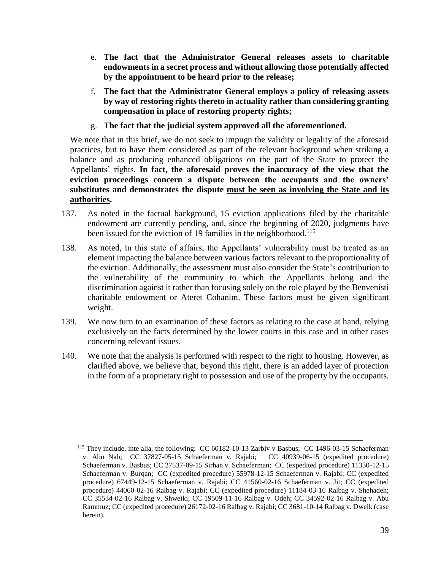- e. **The fact that the Administrator General releases assets to charitable endowments in a secret process and without allowing those potentially affected by the appointment to be heard prior to the release;**
- f. **The fact that the Administrator General employs a policy of releasing assets by way of restoring rights thereto in actuality rather than considering granting compensation in place of restoring property rights;**
- g. **The fact that the judicial system approved all the aforementioned.**

We note that in this brief, we do not seek to impugn the validity or legality of the aforesaid practices, but to have them considered as part of the relevant background when striking a balance and as producing enhanced obligations on the part of the State to protect the Appellants' rights. **In fact, the aforesaid proves the inaccuracy of the view that the eviction proceedings concern a dispute between the occupants and the owners' substitutes and demonstrates the dispute must be seen as involving the State and its authorities.**

- 137. As noted in the factual background, 15 eviction applications filed by the charitable endowment are currently pending, and, since the beginning of 2020, judgments have been issued for the eviction of 19 families in the neighborhood.<sup>115</sup>
- 138. As noted, in this state of affairs, the Appellants' vulnerability must be treated as an element impacting the balance between various factors relevant to the proportionality of the eviction. Additionally, the assessment must also consider the State's contribution to the vulnerability of the community to which the Appellants belong and the discrimination against it rather than focusing solely on the role played by the Benvenisti charitable endowment or Ateret Cohanim. These factors must be given significant weight.
- 139. We now turn to an examination of these factors as relating to the case at hand, relying exclusively on the facts determined by the lower courts in this case and in other cases concerning relevant issues.
- 140. We note that the analysis is performed with respect to the right to housing. However, as clarified above, we believe that, beyond this right, there is an added layer of protection in the form of a proprietary right to possession and use of the property by the occupants.

<sup>&</sup>lt;sup>115</sup> They include, inte alia, the following: CC 60182-10-13 Zarbiv v Basbus; CC 1496-03-15 Schaeferman v. Abu Nab; CC 37827-05-15 Schaeferman v. Rajabi; CC 40939-06-15 (expedited procedure) Schaeferman v. Basbus; CC 27537-09-15 Sirhan v. Schaeferman; CC (expedited procedure) 11330-12-15 Schaeferman v. Burqan; CC (expedited procedure) 55978-12-15 Schaeferman v. Rajabi; CC (expedited procedure) 67449-12-15 Schaeferman v. Rajabi; CC 41560-02-16 Schaeferman v. Jit; CC (expedited procedure) 44060-02-16 Ralbag v. Rajabi; CC (expedited procedure) 11184-03-16 Ralbag v. Shehadeh; CC 35534-02-16 Ralbag v. Shweiki; CC 19509-11-16 Ralbag v. Odeh; CC 34592-02-16 Ralbag v. Abu Rammuz; CC (expedited procedure) 26172-02-16 Ralbag v. Rajabi; CC 3681-10-14 Ralbag v. Dweik (case herein).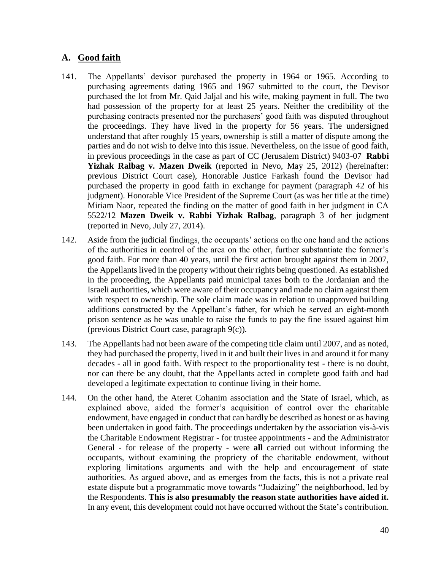## **A. Good faith**

- 141. The Appellants' devisor purchased the property in 1964 or 1965. According to purchasing agreements dating 1965 and 1967 submitted to the court, the Devisor purchased the lot from Mr. Qaid Jaljal and his wife, making payment in full. The two had possession of the property for at least 25 years. Neither the credibility of the purchasing contracts presented nor the purchasers' good faith was disputed throughout the proceedings. They have lived in the property for 56 years. The undersigned understand that after roughly 15 years, ownership is still a matter of dispute among the parties and do not wish to delve into this issue. Nevertheless, on the issue of good faith, in previous proceedings in the case as part of CC (Jerusalem District) 9403-07 **Rabbi Yizhak Ralbag v. Mazen Dweik** (reported in Nevo, May 25, 2012) (hereinafter: previous District Court case), Honorable Justice Farkash found the Devisor had purchased the property in good faith in exchange for payment (paragraph 42 of his judgment). Honorable Vice President of the Supreme Court (as was her title at the time) Miriam Naor, repeated the finding on the matter of good faith in her judgment in CA 5522/12 **Mazen Dweik v. Rabbi Yizhak Ralbag**, paragraph 3 of her judgment (reported in Nevo, July 27, 2014).
- 142. Aside from the judicial findings, the occupants' actions on the one hand and the actions of the authorities in control of the area on the other, further substantiate the former's good faith. For more than 40 years, until the first action brought against them in 2007, the Appellants lived in the property without their rights being questioned. As established in the proceeding, the Appellants paid municipal taxes both to the Jordanian and the Israeli authorities, which were aware of their occupancy and made no claim against them with respect to ownership. The sole claim made was in relation to unapproved building additions constructed by the Appellant's father, for which he served an eight-month prison sentence as he was unable to raise the funds to pay the fine issued against him (previous District Court case, paragraph 9(c)).
- 143. The Appellants had not been aware of the competing title claim until 2007, and as noted, they had purchased the property, lived in it and built their lives in and around it for many decades - all in good faith. With respect to the proportionality test - there is no doubt, nor can there be any doubt, that the Appellants acted in complete good faith and had developed a legitimate expectation to continue living in their home.
- 144. On the other hand, the Ateret Cohanim association and the State of Israel, which, as explained above, aided the former's acquisition of control over the charitable endowment, have engaged in conduct that can hardly be described as honest or as having been undertaken in good faith. The proceedings undertaken by the association vis-à-vis the Charitable Endowment Registrar - for trustee appointments - and the Administrator General - for release of the property - were **all** carried out without informing the occupants, without examining the propriety of the charitable endowment, without exploring limitations arguments and with the help and encouragement of state authorities. As argued above, and as emerges from the facts, this is not a private real estate dispute but a programmatic move towards "Judaizing" the neighborhood, led by the Respondents. **This is also presumably the reason state authorities have aided it.**  In any event, this development could not have occurred without the State's contribution.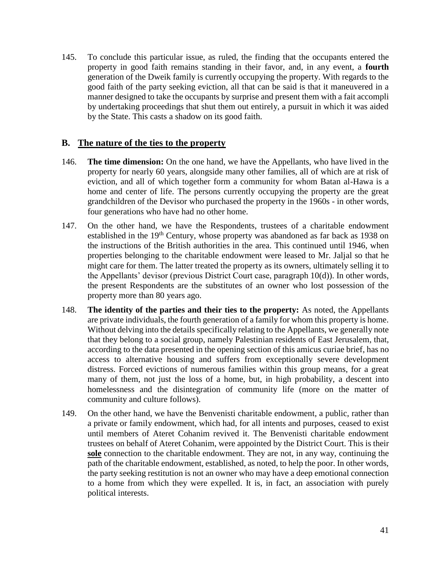145. To conclude this particular issue, as ruled, the finding that the occupants entered the property in good faith remains standing in their favor, and, in any event, a **fourth** generation of the Dweik family is currently occupying the property. With regards to the good faith of the party seeking eviction, all that can be said is that it maneuvered in a manner designed to take the occupants by surprise and present them with a fait accompli by undertaking proceedings that shut them out entirely, a pursuit in which it was aided by the State. This casts a shadow on its good faith.

#### **B. The nature of the ties to the property**

- 146. **The time dimension:** On the one hand, we have the Appellants, who have lived in the property for nearly 60 years, alongside many other families, all of which are at risk of eviction, and all of which together form a community for whom Batan al-Hawa is a home and center of life. The persons currently occupying the property are the great grandchildren of the Devisor who purchased the property in the 1960s - in other words, four generations who have had no other home.
- 147. On the other hand, we have the Respondents, trustees of a charitable endowment established in the 19<sup>th</sup> Century, whose property was abandoned as far back as 1938 on the instructions of the British authorities in the area. This continued until 1946, when properties belonging to the charitable endowment were leased to Mr. Jaljal so that he might care for them. The latter treated the property as its owners, ultimately selling it to the Appellants' devisor (previous District Court case, paragraph 10(d)). In other words, the present Respondents are the substitutes of an owner who lost possession of the property more than 80 years ago.
- 148. **The identity of the parties and their ties to the property:** As noted, the Appellants are private individuals, the fourth generation of a family for whom this property is home. Without delving into the details specifically relating to the Appellants, we generally note that they belong to a social group, namely Palestinian residents of East Jerusalem, that, according to the data presented in the opening section of this amicus curiae brief, has no access to alternative housing and suffers from exceptionally severe development distress. Forced evictions of numerous families within this group means, for a great many of them, not just the loss of a home, but, in high probability, a descent into homelessness and the disintegration of community life (more on the matter of community and culture follows).
- 149. On the other hand, we have the Benvenisti charitable endowment, a public, rather than a private or family endowment, which had, for all intents and purposes, ceased to exist until members of Ateret Cohanim revived it. The Benvenisti charitable endowment trustees on behalf of Ateret Cohanim, were appointed by the District Court. This is their **sole** connection to the charitable endowment. They are not, in any way, continuing the path of the charitable endowment, established, as noted, to help the poor. In other words, the party seeking restitution is not an owner who may have a deep emotional connection to a home from which they were expelled. It is, in fact, an association with purely political interests.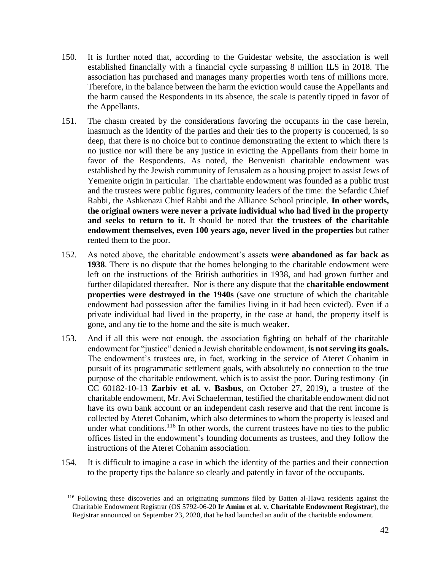- 150. It is further noted that, according to the Guidestar website, the association is well established financially with a financial cycle surpassing 8 million ILS in 2018. The association has purchased and manages many properties worth tens of millions more. Therefore, in the balance between the harm the eviction would cause the Appellants and the harm caused the Respondents in its absence, the scale is patently tipped in favor of the Appellants.
- 151. The chasm created by the considerations favoring the occupants in the case herein, inasmuch as the identity of the parties and their ties to the property is concerned, is so deep, that there is no choice but to continue demonstrating the extent to which there is no justice nor will there be any justice in evicting the Appellants from their home in favor of the Respondents. As noted, the Benvenisti charitable endowment was established by the Jewish community of Jerusalem as a housing project to assist Jews of Yemenite origin in particular. The charitable endowment was founded as a public trust and the trustees were public figures, community leaders of the time: the Sefardic Chief Rabbi, the Ashkenazi Chief Rabbi and the Alliance School principle. **In other words, the original owners were never a private individual who had lived in the property and seeks to return to it.** It should be noted that **the trustees of the charitable endowment themselves, even 100 years ago, never lived in the properties** but rather rented them to the poor.
- 152. As noted above, the charitable endowment's assets **were abandoned as far back as 1938**. There is no dispute that the homes belonging to the charitable endowment were left on the instructions of the British authorities in 1938, and had grown further and further dilapidated thereafter. Nor is there any dispute that the **charitable endowment properties were destroyed in the 1940s** (save one structure of which the charitable endowment had possession after the families living in it had been evicted). Even if a private individual had lived in the property, in the case at hand, the property itself is gone, and any tie to the home and the site is much weaker.
- 153. And if all this were not enough, the association fighting on behalf of the charitable endowment for "justice" denied a Jewish charitable endowment, **is not serving its goals.** The endowment's trustees are, in fact, working in the service of Ateret Cohanim in pursuit of its programmatic settlement goals, with absolutely no connection to the true purpose of the charitable endowment, which is to assist the poor. During testimony (in CC 60182-10-13 **Zarbiv et al. v. Basbus**, on October 27, 2019), a trustee of the charitable endowment, Mr. Avi Schaeferman, testified the charitable endowment did not have its own bank account or an independent cash reserve and that the rent income is collected by Ateret Cohanim, which also determines to whom the property is leased and under what conditions.<sup>116</sup> In other words, the current trustees have no ties to the public offices listed in the endowment's founding documents as trustees, and they follow the instructions of the Ateret Cohanim association.
- 154. It is difficult to imagine a case in which the identity of the parties and their connection to the property tips the balance so clearly and patently in favor of the occupants.

<sup>116</sup> Following these discoveries and an originating summons filed by Batten al-Hawa residents against the Charitable Endowment Registrar (OS 5792-06-20 **Ir Amim et al. v. Charitable Endowment Registrar**), the Registrar announced on September 23, 2020, that he had launched an audit of the charitable endowment.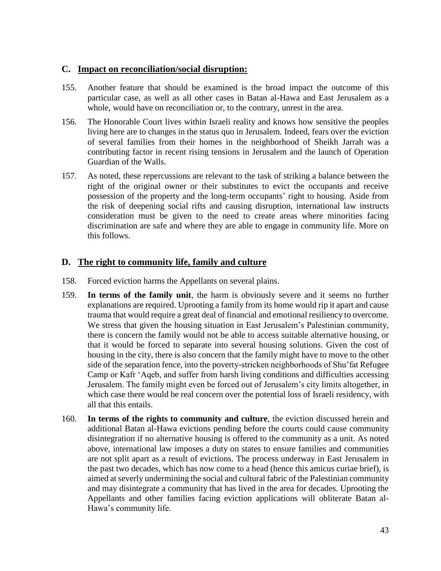#### **C. Impact on reconciliation/social disruption:**

- 155. Another feature that should be examined is the broad impact the outcome of this particular case, as well as all other cases in Batan al-Hawa and East Jerusalem as a whole, would have on reconciliation or, to the contrary, unrest in the area.
- 156. The Honorable Court lives within Israeli reality and knows how sensitive the peoples living here are to changes in the status quo in Jerusalem. Indeed, fears over the eviction of several families from their homes in the neighborhood of Sheikh Jarrah was a contributing factor in recent rising tensions in Jerusalem and the launch of Operation Guardian of the Walls.
- 157. As noted, these repercussions are relevant to the task of striking a balance between the right of the original owner or their substitutes to evict the occupants and receive possession of the property and the long-term occupants' right to housing. Aside from the risk of deepening social rifts and causing disruption, international law instructs consideration must be given to the need to create areas where minorities facing discrimination are safe and where they are able to engage in community life. More on this follows.

## **D. The right to community life, family and culture**

- 158. Forced eviction harms the Appellants on several plains.
- 159. **In terms of the family unit**, the harm is obviously severe and it seems no further explanations are required. Uprooting a family from its home would rip it apart and cause trauma that would require a great deal of financial and emotional resiliency to overcome. We stress that given the housing situation in East Jerusalem's Palestinian community, there is concern the family would not be able to access suitable alternative housing, or that it would be forced to separate into several housing solutions. Given the cost of housing in the city, there is also concern that the family might have to move to the other side of the separation fence, into the poverty-stricken neighborhoods of Shu'fat Refugee Camp or Kafr 'Aqeb, and suffer from harsh living conditions and difficulties accessing Jerusalem. The family might even be forced out of Jerusalem's city limits altogether, in which case there would be real concern over the potential loss of Israeli residency, with all that this entails.
- 160. **In terms of the rights to community and culture**, the eviction discussed herein and additional Batan al-Hawa evictions pending before the courts could cause community disintegration if no alternative housing is offered to the community as a unit. As noted above, international law imposes a duty on states to ensure families and communities are not split apart as a result of evictions. The process underway in East Jerusalem in the past two decades, which has now come to a head (hence this amicus curiae brief), is aimed at severly undermining the social and cultural fabric of the Palestinian community and may disintegrate a community that has lived in the area for decades. Uprooting the Appellants and other families facing eviction applications will obliterate Batan al-Hawa's community life.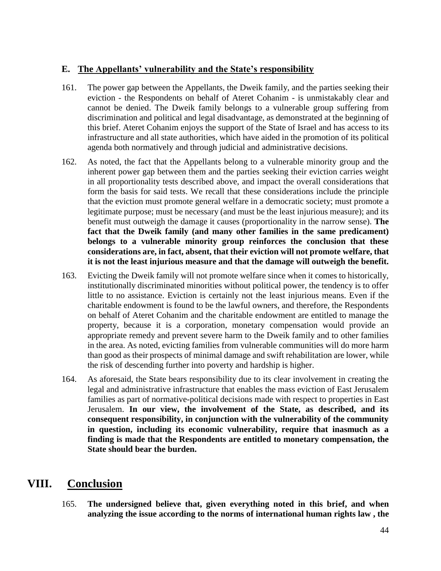#### **E. The Appellants' vulnerability and the State's responsibility**

- 161. The power gap between the Appellants, the Dweik family, and the parties seeking their eviction - the Respondents on behalf of Ateret Cohanim - is unmistakably clear and cannot be denied. The Dweik family belongs to a vulnerable group suffering from discrimination and political and legal disadvantage, as demonstrated at the beginning of this brief. Ateret Cohanim enjoys the support of the State of Israel and has access to its infrastructure and all state authorities, which have aided in the promotion of its political agenda both normatively and through judicial and administrative decisions.
- 162. As noted, the fact that the Appellants belong to a vulnerable minority group and the inherent power gap between them and the parties seeking their eviction carries weight in all proportionality tests described above, and impact the overall considerations that form the basis for said tests. We recall that these considerations include the principle that the eviction must promote general welfare in a democratic society; must promote a legitimate purpose; must be necessary (and must be the least injurious measure); and its benefit must outweigh the damage it causes (proportionality in the narrow sense). **The fact that the Dweik family (and many other families in the same predicament) belongs to a vulnerable minority group reinforces the conclusion that these considerations are, in fact, absent, that their eviction will not promote welfare, that it is not the least injurious measure and that the damage will outweigh the benefit.**
- 163. Evicting the Dweik family will not promote welfare since when it comes to historically, institutionally discriminated minorities without political power, the tendency is to offer little to no assistance. Eviction is certainly not the least injurious means. Even if the charitable endowment is found to be the lawful owners, and therefore, the Respondents on behalf of Ateret Cohanim and the charitable endowment are entitled to manage the property, because it is a corporation, monetary compensation would provide an appropriate remedy and prevent severe harm to the Dweik family and to other families in the area. As noted, evicting families from vulnerable communities will do more harm than good as their prospects of minimal damage and swift rehabilitation are lower, while the risk of descending further into poverty and hardship is higher.
- 164. As aforesaid, the State bears responsibility due to its clear involvement in creating the legal and administrative infrastructure that enables the mass eviction of East Jerusalem families as part of normative-political decisions made with respect to properties in East Jerusalem. **In our view, the involvement of the State, as described, and its consequent responsibility, in conjunction with the vulnerability of the community in question, including its economic vulnerability, require that inasmuch as a finding is made that the Respondents are entitled to monetary compensation, the State should bear the burden.**

## **VIII. Conclusion**

165. **The undersigned believe that, given everything noted in this brief, and when analyzing the issue according to the norms of international human rights law , the**